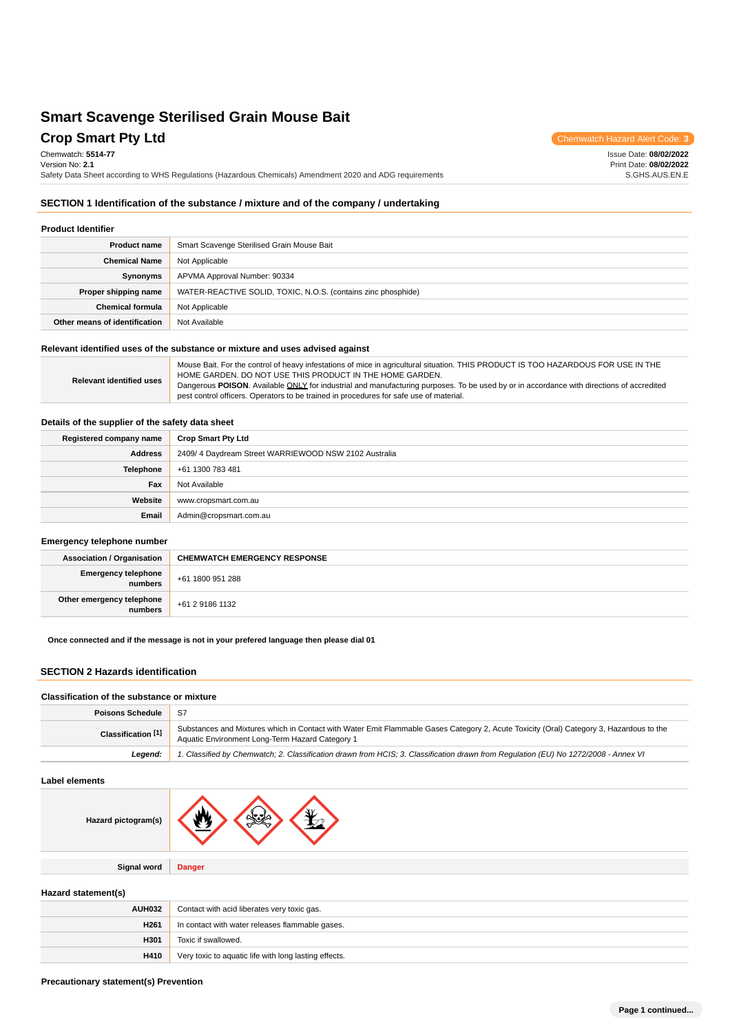# **Crop Smart Pty Ltd** Chemwatch Hazard Alert Code: **3**

Issue Date: **08/02/2022** Print Date: **08/02/2022** S.GHS.AUS.EN.E

Chemwatch: **5514-77** Version No: **2.1** Safety Data Sheet according to WHS Regulations (Hazardous Chemicals) Amendment 2020 and ADG requirements

## **SECTION 1 Identification of the substance / mixture and of the company / undertaking**

#### **Product Identifier**

| <b>Product name</b>           | Smart Scavenge Sterilised Grain Mouse Bait                    |
|-------------------------------|---------------------------------------------------------------|
| <b>Chemical Name</b>          | Not Applicable                                                |
| Synonyms                      | APVMA Approval Number: 90334                                  |
| Proper shipping name          | WATER-REACTIVE SOLID, TOXIC, N.O.S. (contains zinc phosphide) |
| <b>Chemical formula</b>       | Not Applicable                                                |
| Other means of identification | Not Available                                                 |

## **Relevant identified uses of the substance or mixture and uses advised against**

**Relevant identified uses** Mouse Bait. For the control of heavy infestations of mice in agricultural situation. THIS PRODUCT IS TOO HAZARDOUS FOR USE IN THE HOME GARDEN. DO NOT USE THIS PRODUCT IN THE HOME GARDEN. Dangerous POISON. Available ONLY for industrial and manufacturing purposes. To be used by or in accordance with directions of accredited pest control officers. Operators to be trained in procedures for safe use of material.

### **Details of the supplier of the safety data sheet**

| Registered company name | <b>Crop Smart Pty Ltd</b>                            |
|-------------------------|------------------------------------------------------|
| <b>Address</b>          | 2409/4 Daydream Street WARRIEWOOD NSW 2102 Australia |
| Telephone               | +61 1300 783 481                                     |
| Fax                     | Not Available                                        |
| Website                 | www.cropsmart.com.au                                 |
| Email                   | Admin@cropsmart.com.au                               |

### **Emergency telephone number**

| <b>Association / Organisation</b>    | <b>CHEMWATCH EMERGENCY RESPONSE</b> |
|--------------------------------------|-------------------------------------|
| Emergency telephone<br>  numbers     | +61 1800 951 288                    |
| Other emergency telephone<br>numbers | +61 2 9186 1132                     |

#### **Once connected and if the message is not in your prefered language then please dial 01**

### **SECTION 2 Hazards identification**

#### **Classification of the substance or mixture**

| Poisons Schedule   | -S7                                                                                                                                                                                        |
|--------------------|--------------------------------------------------------------------------------------------------------------------------------------------------------------------------------------------|
| Classification [1] | Substances and Mixtures which in Contact with Water Emit Flammable Gases Category 2, Acute Toxicity (Oral) Category 3, Hazardous to the<br>Aquatic Environment Long-Term Hazard Category 1 |
| Leaend:            | 1. Classified by Chemwatch; 2. Classification drawn from HCIS; 3. Classification drawn from Requlation (EU) No 1272/2008 - Annex VI                                                        |

**Label elements**

**Signal word Danger**

### **Hazard statement(s)**

| <b>AUH032</b>    | Contact with acid liberates very toxic gas.           |
|------------------|-------------------------------------------------------|
| H <sub>261</sub> | In contact with water releases flammable gases.       |
| H301             | Toxic if swallowed.                                   |
| H410             | Very toxic to aquatic life with long lasting effects. |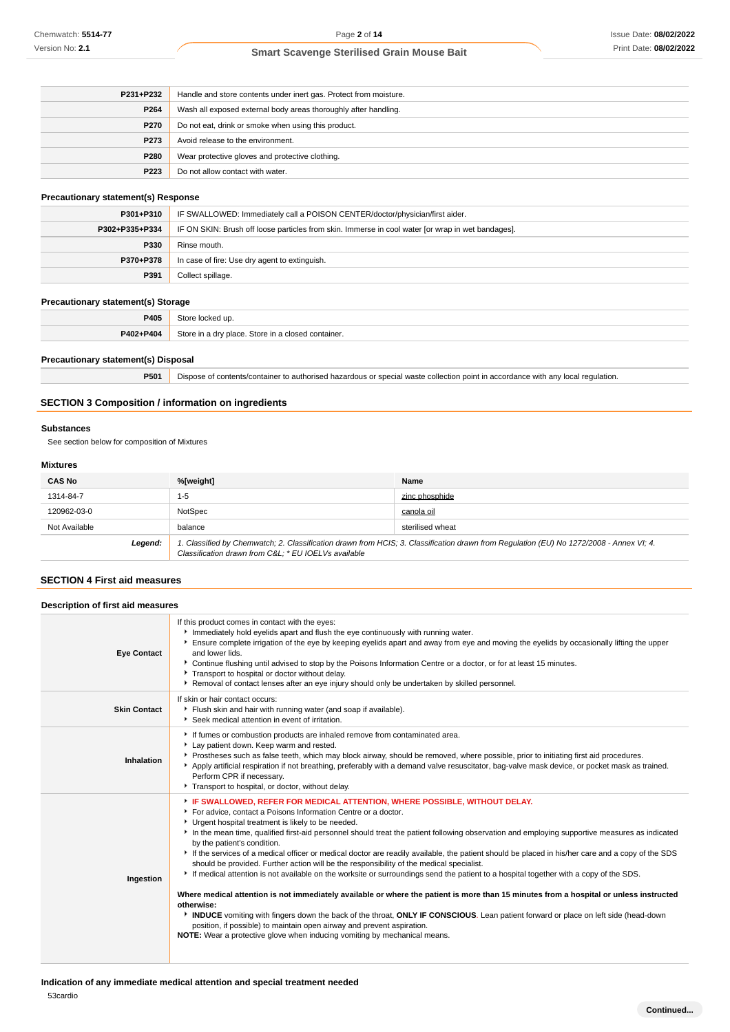| P231+P232 | Handle and store contents under inert gas. Protect from moisture. |
|-----------|-------------------------------------------------------------------|
| P264      | Wash all exposed external body areas thoroughly after handling.   |
| P270      | Do not eat, drink or smoke when using this product.               |
| P273      | Avoid release to the environment.                                 |
| P280      | Wear protective gloves and protective clothing.                   |
| P223      | Do not allow contact with water.                                  |

### **Precautionary statement(s) Response**

| P301+P310      | IF SWALLOWED: Immediately call a POISON CENTER/doctor/physician/first aider.                      |  |
|----------------|---------------------------------------------------------------------------------------------------|--|
| P302+P335+P334 | IF ON SKIN: Brush off loose particles from skin. Immerse in cool water for wrap in wet bandages]. |  |
| P330           | Rinse mouth.                                                                                      |  |
| P370+P378      | In case of fire: Use dry agent to extinguish.                                                     |  |
| P391           | Collect spillage.                                                                                 |  |

## **Precautionary statement(s) Storage**

| P405      |                                                                    |
|-----------|--------------------------------------------------------------------|
| P402+P404 | Store in a<br>a drv place. Store in al<br>d container.<br>ı closec |

### **Precautionary statement(s) Disposal**

**P501** Dispose of contents/container to authorised hazardous or special waste collection point in accordance with any local regulation.

### **SECTION 3 Composition / information on ingredients**

### **Substances**

See section below for composition of Mixtures

### **Mixtures**

| <b>CAS No</b> | %[weight]                                           | Name                                                                                                                                    |
|---------------|-----------------------------------------------------|-----------------------------------------------------------------------------------------------------------------------------------------|
| 1314-84-7     | $1 - 5$                                             | zinc phosphide                                                                                                                          |
| 120962-03-0   | NotSpec                                             | canola oil                                                                                                                              |
| Not Available | balance                                             | sterilised wheat                                                                                                                        |
| Legend:       | Classification drawn from C&L * EU IOELVs available | 1. Classified by Chemwatch; 2. Classification drawn from HCIS; 3. Classification drawn from Regulation (EU) No 1272/2008 - Annex VI; 4. |

### **SECTION 4 First aid measures**

### **Description of first aid measures**

| <b>Eye Contact</b>  | If this product comes in contact with the eyes:<br>Immediately hold eyelids apart and flush the eye continuously with running water.<br>Ensure complete irrigation of the eye by keeping eyelids apart and away from eye and moving the eyelids by occasionally lifting the upper<br>and lower lids.<br>▶ Continue flushing until advised to stop by the Poisons Information Centre or a doctor, or for at least 15 minutes.<br>Transport to hospital or doctor without delay.<br>▶ Removal of contact lenses after an eye injury should only be undertaken by skilled personnel.                                                                                                                                                                                                                                                                                                                                                                                                                                                                                                                                                                                                                                                     |
|---------------------|---------------------------------------------------------------------------------------------------------------------------------------------------------------------------------------------------------------------------------------------------------------------------------------------------------------------------------------------------------------------------------------------------------------------------------------------------------------------------------------------------------------------------------------------------------------------------------------------------------------------------------------------------------------------------------------------------------------------------------------------------------------------------------------------------------------------------------------------------------------------------------------------------------------------------------------------------------------------------------------------------------------------------------------------------------------------------------------------------------------------------------------------------------------------------------------------------------------------------------------|
| <b>Skin Contact</b> | If skin or hair contact occurs:<br>Flush skin and hair with running water (and soap if available).<br>Seek medical attention in event of irritation.                                                                                                                                                                                                                                                                                                                                                                                                                                                                                                                                                                                                                                                                                                                                                                                                                                                                                                                                                                                                                                                                                  |
| Inhalation          | If fumes or combustion products are inhaled remove from contaminated area.<br>Lay patient down. Keep warm and rested.<br>▶ Prostheses such as false teeth, which may block airway, should be removed, where possible, prior to initiating first aid procedures.<br>Apply artificial respiration if not breathing, preferably with a demand valve resuscitator, bag-valve mask device, or pocket mask as trained.<br>Perform CPR if necessary.<br>Transport to hospital, or doctor, without delay.                                                                                                                                                                                                                                                                                                                                                                                                                                                                                                                                                                                                                                                                                                                                     |
| Ingestion           | FIF SWALLOWED, REFER FOR MEDICAL ATTENTION, WHERE POSSIBLE, WITHOUT DELAY.<br>For advice, contact a Poisons Information Centre or a doctor.<br>Urgent hospital treatment is likely to be needed.<br>In the mean time, qualified first-aid personnel should treat the patient following observation and employing supportive measures as indicated<br>by the patient's condition.<br>If the services of a medical officer or medical doctor are readily available, the patient should be placed in his/her care and a copy of the SDS<br>should be provided. Further action will be the responsibility of the medical specialist.<br>If medical attention is not available on the worksite or surroundings send the patient to a hospital together with a copy of the SDS.<br>Where medical attention is not immediately available or where the patient is more than 15 minutes from a hospital or unless instructed<br>otherwise:<br>INDUCE vomiting with fingers down the back of the throat, ONLY IF CONSCIOUS. Lean patient forward or place on left side (head-down<br>position, if possible) to maintain open airway and prevent aspiration.<br><b>NOTE:</b> Wear a protective glove when inducing vomiting by mechanical means. |

## **Indication of any immediate medical attention and special treatment needed**

53cardio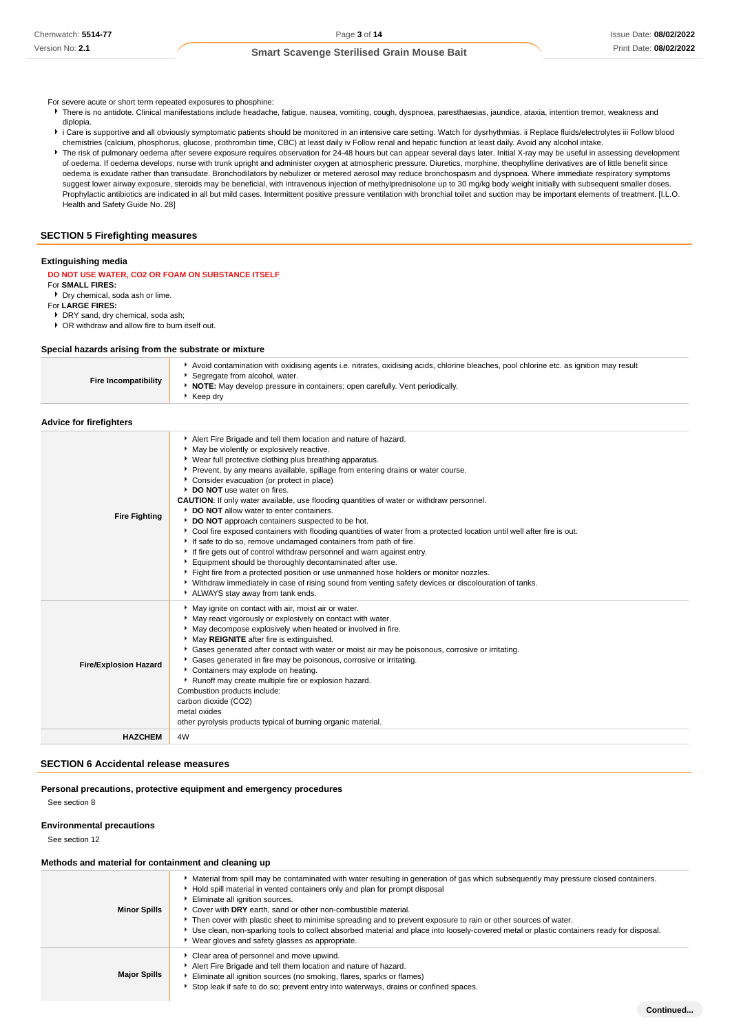- For severe acute or short term repeated exposures to phosphine:
	- There is no antidote. Clinical manifestations include headache, fatigue, nausea, vomiting, cough, dyspnoea, paresthaesias, jaundice, ataxia, intention tremor, weakness and diplopia.
	- i Care is supportive and all obviously symptomatic patients should be monitored in an intensive care setting. Watch for dysrhythmias. ii Replace fluids/electrolytes iii Follow blood chemistries (calcium, phosphorus, glucose, prothrombin time, CBC) at least daily iv Follow renal and hepatic function at least daily. Avoid any alcohol intake.
	- The risk of pulmonary oedema after severe exposure requires observation for 24-48 hours but can appear several days later. Initial X-ray may be useful in assessing development of oedema. If oedema develops, nurse with trunk upright and administer oxygen at atmospheric pressure. Diuretics, morphine, theophylline derivatives are of little benefit since oedema is exudate rather than transudate. Bronchodilators by nebulizer or metered aerosol may reduce bronchospasm and dyspnoea. Where immediate respiratory symptoms suggest lower airway exposure, steroids may be beneficial, with intravenous injection of methylprednisolone up to 30 mg/kg body weight initially with subsequent smaller doses. Prophylactic antibiotics are indicated in all but mild cases. Intermittent positive pressure ventilation with bronchial toilet and suction may be important elements of treatment. [I.L.O. Health and Safety Guide No. 28]

## **SECTION 5 Firefighting measures**

### **Extinguishing media**

- **DO NOT USE WATER, CO2 OR FOAM ON SUBSTANCE ITSELF**
- For **SMALL FIRES:**
- Dry chemical, soda ash or lime. For **LARGE FIRES:**

DRY sand, dry chemical, soda ash;

OR withdraw and allow fire to burn itself out.

#### **Special hazards arising from the substrate or mixture**

| Avoid contamination with oxidising agents i.e. nitrates, oxidising acids, chlorine bleaches, pool chlorine etc. as ignition may result<br>Segregate from alcohol, water.<br><b>Fire Incompatibility</b><br><b>NOTE:</b> May develop pressure in containers; open carefully. Vent periodically.<br>Keep drv |
|------------------------------------------------------------------------------------------------------------------------------------------------------------------------------------------------------------------------------------------------------------------------------------------------------------|
|------------------------------------------------------------------------------------------------------------------------------------------------------------------------------------------------------------------------------------------------------------------------------------------------------------|

### **Advice for firefighters**

| <b>Fire Fighting</b>         | Alert Fire Brigade and tell them location and nature of hazard.<br>May be violently or explosively reactive.<br>• Wear full protective clothing plus breathing apparatus.<br>Prevent, by any means available, spillage from entering drains or water course.<br>Consider evacuation (or protect in place)<br>DO NOT use water on fires.<br><b>CAUTION:</b> If only water available, use flooding quantities of water or withdraw personnel.<br>DO NOT allow water to enter containers.<br>DO NOT approach containers suspected to be hot.<br>▶ Cool fire exposed containers with flooding quantities of water from a protected location until well after fire is out.<br>If safe to do so, remove undamaged containers from path of fire.<br>If fire gets out of control withdraw personnel and warn against entry.<br>Equipment should be thoroughly decontaminated after use.<br>Fight fire from a protected position or use unmanned hose holders or monitor nozzles.<br>▶ Withdraw immediately in case of rising sound from venting safety devices or discolouration of tanks.<br>ALWAYS stay away from tank ends. |
|------------------------------|------------------------------------------------------------------------------------------------------------------------------------------------------------------------------------------------------------------------------------------------------------------------------------------------------------------------------------------------------------------------------------------------------------------------------------------------------------------------------------------------------------------------------------------------------------------------------------------------------------------------------------------------------------------------------------------------------------------------------------------------------------------------------------------------------------------------------------------------------------------------------------------------------------------------------------------------------------------------------------------------------------------------------------------------------------------------------------------------------------------------|
| <b>Fire/Explosion Hazard</b> | May ignite on contact with air, moist air or water.<br>May react vigorously or explosively on contact with water.<br>• May decompose explosively when heated or involved in fire.<br>May REIGNITE after fire is extinguished.<br>Gases generated after contact with water or moist air may be poisonous, corrosive or irritating.<br>Gases generated in fire may be poisonous, corrosive or irritating.<br>Containers may explode on heating.<br>Runoff may create multiple fire or explosion hazard.<br>Combustion products include:<br>carbon dioxide (CO2)<br>metal oxides<br>other pyrolysis products typical of burning organic material.                                                                                                                                                                                                                                                                                                                                                                                                                                                                         |
| <b>HAZCHEM</b>               | 4W                                                                                                                                                                                                                                                                                                                                                                                                                                                                                                                                                                                                                                                                                                                                                                                                                                                                                                                                                                                                                                                                                                                     |

### **SECTION 6 Accidental release measures**

#### **Personal precautions, protective equipment and emergency procedures**

See section 8

### **Environmental precautions**

See section 12

### **Methods and material for containment and cleaning up**

| <b>Minor Spills</b> | ▶ Material from spill may be contaminated with water resulting in generation of gas which subsequently may pressure closed containers.<br>▶ Hold spill material in vented containers only and plan for prompt disposal<br>Eliminate all ignition sources.<br>Cover with DRY earth, sand or other non-combustible material.<br>Then cover with plastic sheet to minimise spreading and to prevent exposure to rain or other sources of water.<br>> Use clean, non-sparking tools to collect absorbed material and place into loosely-covered metal or plastic containers ready for disposal.<br>• Wear gloves and safety glasses as appropriate. |
|---------------------|-------------------------------------------------------------------------------------------------------------------------------------------------------------------------------------------------------------------------------------------------------------------------------------------------------------------------------------------------------------------------------------------------------------------------------------------------------------------------------------------------------------------------------------------------------------------------------------------------------------------------------------------------|
| <b>Major Spills</b> | Clear area of personnel and move upwind.<br>Alert Fire Brigade and tell them location and nature of hazard.<br>Eliminate all ignition sources (no smoking, flares, sparks or flames)<br>Stop leak if safe to do so; prevent entry into waterways, drains or confined spaces.                                                                                                                                                                                                                                                                                                                                                                    |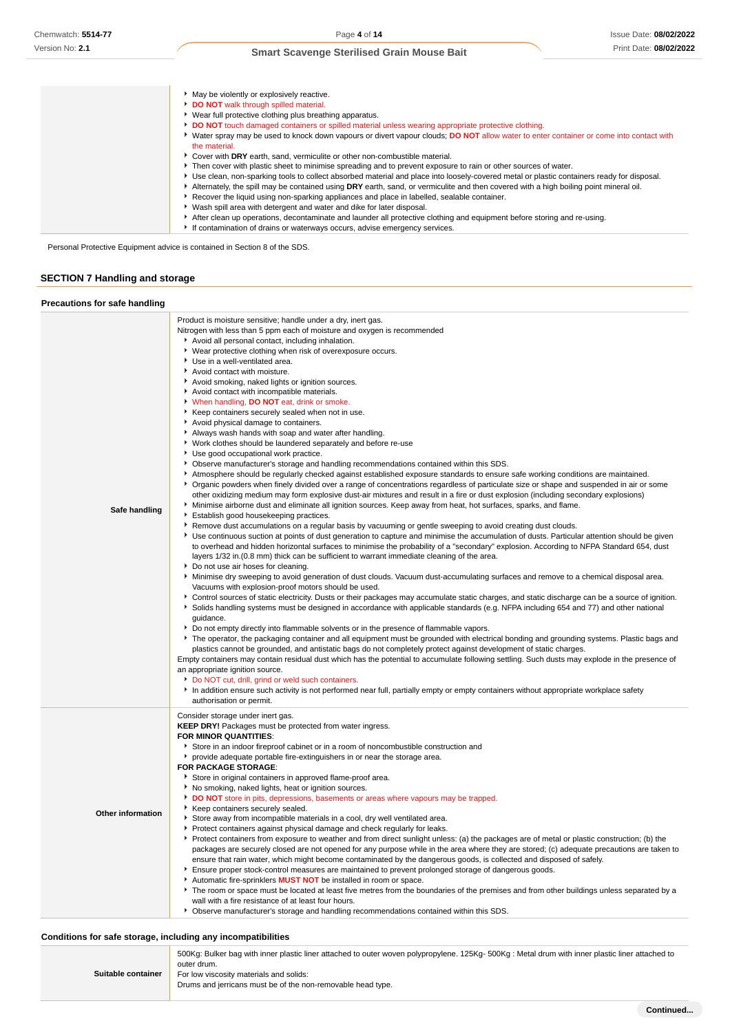| • May be violently or explosively reactive.<br>DO NOT walk through spilled material.                                                                      |
|-----------------------------------------------------------------------------------------------------------------------------------------------------------|
| ▶ Wear full protective clothing plus breathing apparatus.                                                                                                 |
| DO NOT touch damaged containers or spilled material unless wearing appropriate protective clothing.                                                       |
| ► Water spray may be used to knock down vapours or divert vapour clouds; DO NOT allow water to enter container or come into contact with<br>the material. |
| Cover with DRY earth, sand, vermiculite or other non-combustible material.                                                                                |
| Fren cover with plastic sheet to minimise spreading and to prevent exposure to rain or other sources of water.                                            |
| Use clean, non-sparking tools to collect absorbed material and place into loosely-covered metal or plastic containers ready for disposal.                 |
| Alternately, the spill may be contained using DRY earth, sand, or vermiculite and then covered with a high boiling point mineral oil.                     |
| Recover the liquid using non-sparking appliances and place in labelled, sealable container.                                                               |
| ▶ Wash spill area with detergent and water and dike for later disposal.                                                                                   |
| After clean up operations, decontaminate and launder all protective clothing and equipment before storing and re-using.                                   |
| If contamination of drains or waterways occurs, advise emergency services.                                                                                |

**SECTION 7 Handling and storage**

## **Precautions for safe handling**

| Safe handling            | Product is moisture sensitive; handle under a dry, inert gas.<br>Nitrogen with less than 5 ppm each of moisture and oxygen is recommended<br>Avoid all personal contact, including inhalation.<br>• Wear protective clothing when risk of overexposure occurs.<br>Use in a well-ventilated area.<br>Avoid contact with moisture.<br>Avoid smoking, naked lights or ignition sources.<br>Avoid contact with incompatible materials.<br>When handling, DO NOT eat, drink or smoke.<br>Keep containers securely sealed when not in use.<br>Avoid physical damage to containers.<br>Always wash hands with soap and water after handling.<br>▶ Work clothes should be laundered separately and before re-use<br>▶ Use good occupational work practice.<br>▶ Observe manufacturer's storage and handling recommendations contained within this SDS.<br>Atmosphere should be regularly checked against established exposure standards to ensure safe working conditions are maintained.<br>▶ Organic powders when finely divided over a range of concentrations regardless of particulate size or shape and suspended in air or some<br>other oxidizing medium may form explosive dust-air mixtures and result in a fire or dust explosion (including secondary explosions)<br>Minimise airborne dust and eliminate all ignition sources. Keep away from heat, hot surfaces, sparks, and flame.<br>Establish good housekeeping practices.<br>٠<br>▶ Remove dust accumulations on a regular basis by vacuuming or gentle sweeping to avoid creating dust clouds.<br>• Use continuous suction at points of dust generation to capture and minimise the accumulation of dusts. Particular attention should be given<br>to overhead and hidden horizontal surfaces to minimise the probability of a "secondary" explosion. According to NFPA Standard 654, dust<br>layers 1/32 in.(0.8 mm) thick can be sufficient to warrant immediate cleaning of the area.<br>Do not use air hoses for cleaning.<br>▶ Minimise dry sweeping to avoid generation of dust clouds. Vacuum dust-accumulating surfaces and remove to a chemical disposal area.<br>Vacuums with explosion-proof motors should be used.<br>• Control sources of static electricity. Dusts or their packages may accumulate static charges, and static discharge can be a source of ignition.<br>Solids handling systems must be designed in accordance with applicable standards (e.g. NFPA including 654 and 77) and other national<br>quidance.<br>► Do not empty directly into flammable solvents or in the presence of flammable vapors.<br>▶ The operator, the packaging container and all equipment must be grounded with electrical bonding and grounding systems. Plastic bags and<br>plastics cannot be grounded, and antistatic bags do not completely protect against development of static charges.<br>Empty containers may contain residual dust which has the potential to accumulate following settling. Such dusts may explode in the presence of<br>an appropriate ignition source. |
|--------------------------|--------------------------------------------------------------------------------------------------------------------------------------------------------------------------------------------------------------------------------------------------------------------------------------------------------------------------------------------------------------------------------------------------------------------------------------------------------------------------------------------------------------------------------------------------------------------------------------------------------------------------------------------------------------------------------------------------------------------------------------------------------------------------------------------------------------------------------------------------------------------------------------------------------------------------------------------------------------------------------------------------------------------------------------------------------------------------------------------------------------------------------------------------------------------------------------------------------------------------------------------------------------------------------------------------------------------------------------------------------------------------------------------------------------------------------------------------------------------------------------------------------------------------------------------------------------------------------------------------------------------------------------------------------------------------------------------------------------------------------------------------------------------------------------------------------------------------------------------------------------------------------------------------------------------------------------------------------------------------------------------------------------------------------------------------------------------------------------------------------------------------------------------------------------------------------------------------------------------------------------------------------------------------------------------------------------------------------------------------------------------------------------------------------------------------------------------------------------------------------------------------------------------------------------------------------------------------------------------------------------------------------------------------------------------------------------------------------------------------------------------------------------------------------------------------------------------------------------------------------------------------------------------------------------------------------------------------------------------------------------------------------------------------------------------------------|
|                          | Do NOT cut, drill, grind or weld such containers.<br>In addition ensure such activity is not performed near full, partially empty or empty containers without appropriate workplace safety                                                                                                                                                                                                                                                                                                                                                                                                                                                                                                                                                                                                                                                                                                                                                                                                                                                                                                                                                                                                                                                                                                                                                                                                                                                                                                                                                                                                                                                                                                                                                                                                                                                                                                                                                                                                                                                                                                                                                                                                                                                                                                                                                                                                                                                                                                                                                                                                                                                                                                                                                                                                                                                                                                                                                                                                                                                             |
| <b>Other information</b> | authorisation or permit.<br>Consider storage under inert gas.<br>KEEP DRY! Packages must be protected from water ingress.<br>FOR MINOR QUANTITIES:<br>Store in an indoor fireproof cabinet or in a room of noncombustible construction and<br>• provide adequate portable fire-extinguishers in or near the storage area.<br><b>FOR PACKAGE STORAGE:</b><br>Store in original containers in approved flame-proof area.<br>No smoking, naked lights, heat or ignition sources.<br>DO NOT store in pits, depressions, basements or areas where vapours may be trapped.<br>▶ Keep containers securely sealed.<br>Store away from incompatible materials in a cool, dry well ventilated area.<br>Protect containers against physical damage and check regularly for leaks.<br>► Protect containers from exposure to weather and from direct sunlight unless: (a) the packages are of metal or plastic construction; (b) the<br>packages are securely closed are not opened for any purpose while in the area where they are stored; (c) adequate precautions are taken to<br>ensure that rain water, which might become contaminated by the dangerous goods, is collected and disposed of safely.<br>Ensure proper stock-control measures are maintained to prevent prolonged storage of dangerous goods.<br>Automatic fire-sprinklers MUST NOT be installed in room or space.<br>The room or space must be located at least five metres from the boundaries of the premises and from other buildings unless separated by a<br>wall with a fire resistance of at least four hours.<br>• Observe manufacturer's storage and handling recommendations contained within this SDS.                                                                                                                                                                                                                                                                                                                                                                                                                                                                                                                                                                                                                                                                                                                                                                                                                                                                                                                                                                                                                                                                                                                                                                                                                                                                                                                                                                             |

## **Conditions for safe storage, including any incompatibilities**

|                    | 500Kg: Bulker bag with inner plastic liner attached to outer woven polypropylene. 125Kg- 500Kg: Metal drum with inner plastic liner attached to<br>outer drum. |
|--------------------|----------------------------------------------------------------------------------------------------------------------------------------------------------------|
| Suitable container | For low viscosity materials and solids:<br>Drums and jerricans must be of the non-removable head type.                                                         |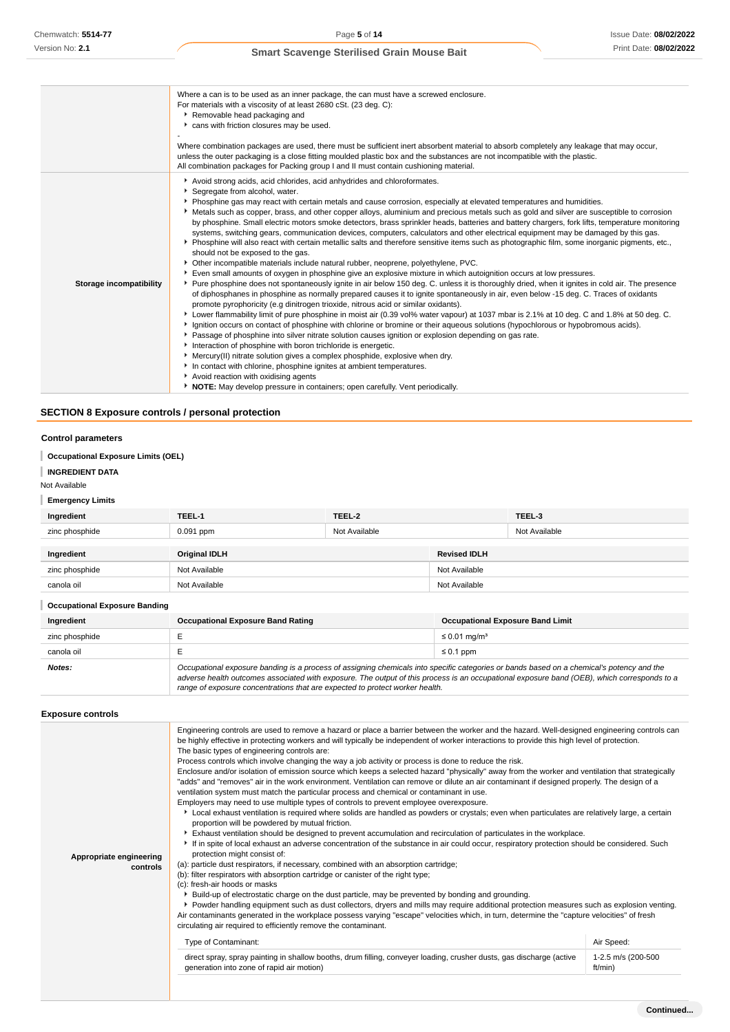|                                                          | Where a can is to be used as an inner package, the can must have a screwed enclosure.<br>For materials with a viscosity of at least 2680 cSt. (23 deg. C):<br>Removable head packaging and<br>cans with friction closures may be used.<br>Where combination packages are used, there must be sufficient inert absorbent material to absorb completely any leakage that may occur,<br>unless the outer packaging is a close fitting moulded plastic box and the substances are not incompatible with the plastic.                                                                                                                                                                                                                                                                                                                                                                                                                                                                                                                                                                                                                                                                                                                                                                                                                                                                                                                                                                                                                                                                                                                                                                                                                                                                                                                                                                                                                                                                                                                                                                                                                                                                                                                                                                                            |               |                     |               |  |
|----------------------------------------------------------|-------------------------------------------------------------------------------------------------------------------------------------------------------------------------------------------------------------------------------------------------------------------------------------------------------------------------------------------------------------------------------------------------------------------------------------------------------------------------------------------------------------------------------------------------------------------------------------------------------------------------------------------------------------------------------------------------------------------------------------------------------------------------------------------------------------------------------------------------------------------------------------------------------------------------------------------------------------------------------------------------------------------------------------------------------------------------------------------------------------------------------------------------------------------------------------------------------------------------------------------------------------------------------------------------------------------------------------------------------------------------------------------------------------------------------------------------------------------------------------------------------------------------------------------------------------------------------------------------------------------------------------------------------------------------------------------------------------------------------------------------------------------------------------------------------------------------------------------------------------------------------------------------------------------------------------------------------------------------------------------------------------------------------------------------------------------------------------------------------------------------------------------------------------------------------------------------------------------------------------------------------------------------------------------------------------|---------------|---------------------|---------------|--|
| Storage incompatibility                                  | All combination packages for Packing group I and II must contain cushioning material.<br>Avoid strong acids, acid chlorides, acid anhydrides and chloroformates.<br>Segregate from alcohol, water.<br>• Phosphine gas may react with certain metals and cause corrosion, especially at elevated temperatures and humidities.<br>▶ Metals such as copper, brass, and other copper alloys, aluminium and precious metals such as gold and silver are susceptible to corrosion<br>by phosphine. Small electric motors smoke detectors, brass sprinkler heads, batteries and battery chargers, fork lifts, temperature monitoring<br>systems, switching gears, communication devices, computers, calculators and other electrical equipment may be damaged by this gas.<br>▶ Phosphine will also react with certain metallic salts and therefore sensitive items such as photographic film, some inorganic pigments, etc.,<br>should not be exposed to the gas.<br>Other incompatible materials include natural rubber, neoprene, polyethylene, PVC.<br>Even small amounts of oxygen in phosphine give an explosive mixture in which autoignition occurs at low pressures.<br>▶ Pure phosphine does not spontaneously ignite in air below 150 deg. C. unless it is thoroughly dried, when it ignites in cold air. The presence<br>of diphosphanes in phosphine as normally prepared causes it to ignite spontaneously in air, even below -15 deg. C. Traces of oxidants<br>promote pyrophoricity (e.g dinitrogen trioxide, nitrous acid or similar oxidants).<br>► Lower flammability limit of pure phosphine in moist air (0.39 vol% water vapour) at 1037 mbar is 2.1% at 10 deg. C and 1.8% at 50 deg. C.<br>Ignition occurs on contact of phosphine with chlorine or bromine or their aqueous solutions (hypochlorous or hypobromous acids).<br>▶ Passage of phosphine into silver nitrate solution causes ignition or explosion depending on gas rate.<br>Interaction of phosphine with boron trichloride is energetic.<br>• Mercury(II) nitrate solution gives a complex phosphide, explosive when dry.<br>In contact with chlorine, phosphine ignites at ambient temperatures.<br>Avoid reaction with oxidising agents<br>• NOTE: May develop pressure in containers; open carefully. Vent periodically. |               |                     |               |  |
| <b>SECTION 8 Exposure controls / personal protection</b> |                                                                                                                                                                                                                                                                                                                                                                                                                                                                                                                                                                                                                                                                                                                                                                                                                                                                                                                                                                                                                                                                                                                                                                                                                                                                                                                                                                                                                                                                                                                                                                                                                                                                                                                                                                                                                                                                                                                                                                                                                                                                                                                                                                                                                                                                                                             |               |                     |               |  |
| <b>Control parameters</b>                                |                                                                                                                                                                                                                                                                                                                                                                                                                                                                                                                                                                                                                                                                                                                                                                                                                                                                                                                                                                                                                                                                                                                                                                                                                                                                                                                                                                                                                                                                                                                                                                                                                                                                                                                                                                                                                                                                                                                                                                                                                                                                                                                                                                                                                                                                                                             |               |                     |               |  |
| <b>Occupational Exposure Limits (OEL)</b>                |                                                                                                                                                                                                                                                                                                                                                                                                                                                                                                                                                                                                                                                                                                                                                                                                                                                                                                                                                                                                                                                                                                                                                                                                                                                                                                                                                                                                                                                                                                                                                                                                                                                                                                                                                                                                                                                                                                                                                                                                                                                                                                                                                                                                                                                                                                             |               |                     |               |  |
| <b>INGREDIENT DATA</b>                                   |                                                                                                                                                                                                                                                                                                                                                                                                                                                                                                                                                                                                                                                                                                                                                                                                                                                                                                                                                                                                                                                                                                                                                                                                                                                                                                                                                                                                                                                                                                                                                                                                                                                                                                                                                                                                                                                                                                                                                                                                                                                                                                                                                                                                                                                                                                             |               |                     |               |  |
| Not Available                                            |                                                                                                                                                                                                                                                                                                                                                                                                                                                                                                                                                                                                                                                                                                                                                                                                                                                                                                                                                                                                                                                                                                                                                                                                                                                                                                                                                                                                                                                                                                                                                                                                                                                                                                                                                                                                                                                                                                                                                                                                                                                                                                                                                                                                                                                                                                             |               |                     |               |  |
| <b>Emergency Limits</b>                                  |                                                                                                                                                                                                                                                                                                                                                                                                                                                                                                                                                                                                                                                                                                                                                                                                                                                                                                                                                                                                                                                                                                                                                                                                                                                                                                                                                                                                                                                                                                                                                                                                                                                                                                                                                                                                                                                                                                                                                                                                                                                                                                                                                                                                                                                                                                             |               |                     |               |  |
| Ingredient                                               | TEEL-1                                                                                                                                                                                                                                                                                                                                                                                                                                                                                                                                                                                                                                                                                                                                                                                                                                                                                                                                                                                                                                                                                                                                                                                                                                                                                                                                                                                                                                                                                                                                                                                                                                                                                                                                                                                                                                                                                                                                                                                                                                                                                                                                                                                                                                                                                                      | TEEL-2        |                     | TEEL-3        |  |
| zinc phosphide                                           | $0.091$ ppm                                                                                                                                                                                                                                                                                                                                                                                                                                                                                                                                                                                                                                                                                                                                                                                                                                                                                                                                                                                                                                                                                                                                                                                                                                                                                                                                                                                                                                                                                                                                                                                                                                                                                                                                                                                                                                                                                                                                                                                                                                                                                                                                                                                                                                                                                                 | Not Available |                     | Not Available |  |
| Ingredient                                               | <b>Original IDLH</b>                                                                                                                                                                                                                                                                                                                                                                                                                                                                                                                                                                                                                                                                                                                                                                                                                                                                                                                                                                                                                                                                                                                                                                                                                                                                                                                                                                                                                                                                                                                                                                                                                                                                                                                                                                                                                                                                                                                                                                                                                                                                                                                                                                                                                                                                                        |               | <b>Revised IDLH</b> |               |  |
| zinc phosphide                                           | Not Available                                                                                                                                                                                                                                                                                                                                                                                                                                                                                                                                                                                                                                                                                                                                                                                                                                                                                                                                                                                                                                                                                                                                                                                                                                                                                                                                                                                                                                                                                                                                                                                                                                                                                                                                                                                                                                                                                                                                                                                                                                                                                                                                                                                                                                                                                               |               | Not Available       |               |  |

| canola oil                           | Not Available                                                                                                                                                                                                                                                                                                                                                            | Not Available                           |  |
|--------------------------------------|--------------------------------------------------------------------------------------------------------------------------------------------------------------------------------------------------------------------------------------------------------------------------------------------------------------------------------------------------------------------------|-----------------------------------------|--|
| <b>Occupational Exposure Banding</b> |                                                                                                                                                                                                                                                                                                                                                                          |                                         |  |
| Ingredient                           | <b>Occupational Exposure Band Rating</b>                                                                                                                                                                                                                                                                                                                                 | <b>Occupational Exposure Band Limit</b> |  |
| zinc phosphide                       |                                                                                                                                                                                                                                                                                                                                                                          | $\leq$ 0.01 mg/m <sup>3</sup>           |  |
| canola oil                           |                                                                                                                                                                                                                                                                                                                                                                          | $\leq 0.1$ ppm                          |  |
| Notes:                               | Occupational exposure banding is a process of assigning chemicals into specific categories or bands based on a chemical's potency and the<br>adverse health outcomes associated with exposure. The output of this process is an occupational exposure band (OEB), which corresponds to a<br>range of exposure concentrations that are expected to protect worker health. |                                         |  |

**Exposure controls**

| Appropriate engineering<br>controls | Engineering controls are used to remove a hazard or place a barrier between the worker and the hazard. Well-designed engineering controls can<br>be highly effective in protecting workers and will typically be independent of worker interactions to provide this high level of protection.<br>The basic types of engineering controls are:<br>Process controls which involve changing the way a job activity or process is done to reduce the risk.<br>Enclosure and/or isolation of emission source which keeps a selected hazard "physically" away from the worker and ventilation that strategically<br>"adds" and "removes" air in the work environment. Ventilation can remove or dilute an air contaminant if designed properly. The design of a<br>ventilation system must match the particular process and chemical or contaminant in use.<br>Employers may need to use multiple types of controls to prevent employee overexposure.<br>Local exhaust ventilation is required where solids are handled as powders or crystals; even when particulates are relatively large, a certain<br>proportion will be powdered by mutual friction.<br>Exhaust ventilation should be designed to prevent accumulation and recirculation of particulates in the workplace.<br>If in spite of local exhaust an adverse concentration of the substance in air could occur, respiratory protection should be considered. Such<br>protection might consist of:<br>(a): particle dust respirators, if necessary, combined with an absorption cartridge;<br>(b): filter respirators with absorption cartridge or canister of the right type;<br>(c): fresh-air hoods or masks<br>build-up of electrostatic charge on the dust particle, may be prevented by bonding and grounding.<br>▶ Powder handling equipment such as dust collectors, dryers and mills may require additional protection measures such as explosion venting.<br>Air contaminants generated in the workplace possess varying "escape" velocities which, in turn, determine the "capture velocities" of fresh<br>circulating air required to efficiently remove the contaminant.<br>Type of Contaminant:<br>direct spray, spray painting in shallow booths, drum filling, conveyer loading, crusher dusts, gas discharge (active<br>generation into zone of rapid air motion) | Air Speed:<br>1-2.5 m/s (200-500<br>ft/min) |
|-------------------------------------|-------------------------------------------------------------------------------------------------------------------------------------------------------------------------------------------------------------------------------------------------------------------------------------------------------------------------------------------------------------------------------------------------------------------------------------------------------------------------------------------------------------------------------------------------------------------------------------------------------------------------------------------------------------------------------------------------------------------------------------------------------------------------------------------------------------------------------------------------------------------------------------------------------------------------------------------------------------------------------------------------------------------------------------------------------------------------------------------------------------------------------------------------------------------------------------------------------------------------------------------------------------------------------------------------------------------------------------------------------------------------------------------------------------------------------------------------------------------------------------------------------------------------------------------------------------------------------------------------------------------------------------------------------------------------------------------------------------------------------------------------------------------------------------------------------------------------------------------------------------------------------------------------------------------------------------------------------------------------------------------------------------------------------------------------------------------------------------------------------------------------------------------------------------------------------------------------------------------------------------------------------------------------------------------------------------------------------------------|---------------------------------------------|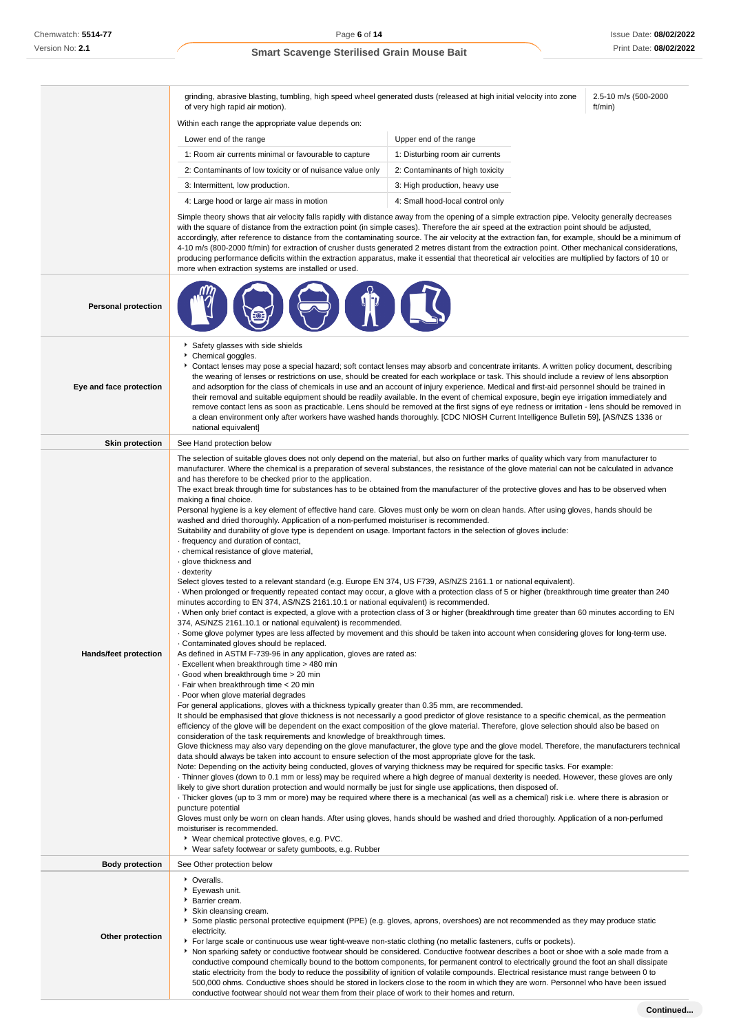grinding, abrasive blasting, tumbling, high speed wheel generated dusts (released at high initial velocity into zone of very high rapid air motion).

2.5-10 m/s (500-2000 ft/min)

|  | Within each range the appropriate value depends on: |  |
|--|-----------------------------------------------------|--|
|  |                                                     |  |
|  |                                                     |  |

l, l.

| Lower end of the range                                    | Upper end of the range           |
|-----------------------------------------------------------|----------------------------------|
| 1: Room air currents minimal or favourable to capture     | 1: Disturbing room air currents  |
| 2: Contaminants of low toxicity or of nuisance value only | 2: Contaminants of high toxicity |
| 3: Intermittent, low production.                          | 3: High production, heavy use    |
| 4: Large hood or large air mass in motion                 | 4: Small hood-local control only |

Simple theory shows that air velocity falls rapidly with distance away from the opening of a simple extraction pipe. Velocity generally decreases with the square of distance from the extraction point (in simple cases). Therefore the air speed at the extraction point should be adjusted, accordingly, after reference to distance from the contaminating source. The air velocity at the extraction fan, for example, should be a minimum of 4-10 m/s (800-2000 ft/min) for extraction of crusher dusts generated 2 metres distant from the extraction point. Other mechanical considerations, producing performance deficits within the extraction apparatus, make it essential that theoretical air velocities are multiplied by factors of 10 or more when extraction systems are installed or used.

| <b>Personal protection</b> |                                                                                                                                                                                                                                                                                                                                                                                                                                                                                                                                                                                                                                                                                                                                                                                                                                                                                                                                                                                                                                                                                                                                                                                                                                                                                                                                                                                                                                                                                                                                                                                                                                                                                                                                                                                                                                                                                                                                                                                                                                                                                                                                                                                                                                                                                                                                                                                                                                                                                                                                                                                                                                                                                                                                                                                                                                                                                                                                                                                                                                                                                                                                                                                                                                                                                                                                                                                                                                                                                                                                                                                                                                                                  |
|----------------------------|------------------------------------------------------------------------------------------------------------------------------------------------------------------------------------------------------------------------------------------------------------------------------------------------------------------------------------------------------------------------------------------------------------------------------------------------------------------------------------------------------------------------------------------------------------------------------------------------------------------------------------------------------------------------------------------------------------------------------------------------------------------------------------------------------------------------------------------------------------------------------------------------------------------------------------------------------------------------------------------------------------------------------------------------------------------------------------------------------------------------------------------------------------------------------------------------------------------------------------------------------------------------------------------------------------------------------------------------------------------------------------------------------------------------------------------------------------------------------------------------------------------------------------------------------------------------------------------------------------------------------------------------------------------------------------------------------------------------------------------------------------------------------------------------------------------------------------------------------------------------------------------------------------------------------------------------------------------------------------------------------------------------------------------------------------------------------------------------------------------------------------------------------------------------------------------------------------------------------------------------------------------------------------------------------------------------------------------------------------------------------------------------------------------------------------------------------------------------------------------------------------------------------------------------------------------------------------------------------------------------------------------------------------------------------------------------------------------------------------------------------------------------------------------------------------------------------------------------------------------------------------------------------------------------------------------------------------------------------------------------------------------------------------------------------------------------------------------------------------------------------------------------------------------------------------------------------------------------------------------------------------------------------------------------------------------------------------------------------------------------------------------------------------------------------------------------------------------------------------------------------------------------------------------------------------------------------------------------------------------------------------------------------------------|
| Eye and face protection    | Safety glasses with side shields<br>Chemical goggles.<br>Contact lenses may pose a special hazard; soft contact lenses may absorb and concentrate irritants. A written policy document, describing<br>the wearing of lenses or restrictions on use, should be created for each workplace or task. This should include a review of lens absorption<br>and adsorption for the class of chemicals in use and an account of injury experience. Medical and first-aid personnel should be trained in<br>their removal and suitable equipment should be readily available. In the event of chemical exposure, begin eye irrigation immediately and<br>remove contact lens as soon as practicable. Lens should be removed at the first signs of eye redness or irritation - lens should be removed in<br>a clean environment only after workers have washed hands thoroughly. [CDC NIOSH Current Intelligence Bulletin 59], [AS/NZS 1336 or<br>national equivalent]                                                                                                                                                                                                                                                                                                                                                                                                                                                                                                                                                                                                                                                                                                                                                                                                                                                                                                                                                                                                                                                                                                                                                                                                                                                                                                                                                                                                                                                                                                                                                                                                                                                                                                                                                                                                                                                                                                                                                                                                                                                                                                                                                                                                                                                                                                                                                                                                                                                                                                                                                                                                                                                                                                     |
| <b>Skin protection</b>     | See Hand protection below                                                                                                                                                                                                                                                                                                                                                                                                                                                                                                                                                                                                                                                                                                                                                                                                                                                                                                                                                                                                                                                                                                                                                                                                                                                                                                                                                                                                                                                                                                                                                                                                                                                                                                                                                                                                                                                                                                                                                                                                                                                                                                                                                                                                                                                                                                                                                                                                                                                                                                                                                                                                                                                                                                                                                                                                                                                                                                                                                                                                                                                                                                                                                                                                                                                                                                                                                                                                                                                                                                                                                                                                                                        |
| Hands/feet protection      | The selection of suitable gloves does not only depend on the material, but also on further marks of quality which vary from manufacturer to<br>manufacturer. Where the chemical is a preparation of several substances, the resistance of the glove material can not be calculated in advance<br>and has therefore to be checked prior to the application.<br>The exact break through time for substances has to be obtained from the manufacturer of the protective gloves and has to be observed when<br>making a final choice.<br>Personal hygiene is a key element of effective hand care. Gloves must only be worn on clean hands. After using gloves, hands should be<br>washed and dried thoroughly. Application of a non-perfumed moisturiser is recommended.<br>Suitability and durability of glove type is dependent on usage. Important factors in the selection of gloves include:<br>frequency and duration of contact,<br>· chemical resistance of glove material,<br>· glove thickness and<br>· dexterity<br>Select gloves tested to a relevant standard (e.g. Europe EN 374, US F739, AS/NZS 2161.1 or national equivalent).<br>When prolonged or frequently repeated contact may occur, a glove with a protection class of 5 or higher (breakthrough time greater than 240<br>minutes according to EN 374, AS/NZS 2161.10.1 or national equivalent) is recommended.<br>When only brief contact is expected, a glove with a protection class of 3 or higher (breakthrough time greater than 60 minutes according to EN<br>374, AS/NZS 2161.10.1 or national equivalent) is recommended.<br>- Some glove polymer types are less affected by movement and this should be taken into account when considering gloves for long-term use.<br>Contaminated gloves should be replaced.<br>As defined in ASTM F-739-96 in any application, gloves are rated as:<br>Excellent when breakthrough time > 480 min<br>Good when breakthrough time > 20 min<br>· Fair when breakthrough time < 20 min<br>· Poor when glove material degrades<br>For general applications, gloves with a thickness typically greater than 0.35 mm, are recommended.<br>It should be emphasised that glove thickness is not necessarily a good predictor of glove resistance to a specific chemical, as the permeation<br>efficiency of the glove will be dependent on the exact composition of the glove material. Therefore, glove selection should also be based on<br>consideration of the task requirements and knowledge of breakthrough times.<br>Glove thickness may also vary depending on the glove manufacturer, the glove type and the glove model. Therefore, the manufacturers technical<br>data should always be taken into account to ensure selection of the most appropriate glove for the task.<br>Note: Depending on the activity being conducted, gloves of varying thickness may be required for specific tasks. For example:<br>Thinner gloves (down to 0.1 mm or less) may be required where a high degree of manual dexterity is needed. However, these gloves are only<br>likely to give short duration protection and would normally be just for single use applications, then disposed of.<br>Thicker gloves (up to 3 mm or more) may be required where there is a mechanical (as well as a chemical) risk i.e. where there is abrasion or<br>puncture potential<br>Gloves must only be worn on clean hands. After using gloves, hands should be washed and dried thoroughly. Application of a non-perfumed<br>moisturiser is recommended.<br>▶ Wear chemical protective gloves, e.g. PVC.<br>▶ Wear safety footwear or safety gumboots, e.g. Rubber |
| <b>Body protection</b>     | See Other protection below                                                                                                                                                                                                                                                                                                                                                                                                                                                                                                                                                                                                                                                                                                                                                                                                                                                                                                                                                                                                                                                                                                                                                                                                                                                                                                                                                                                                                                                                                                                                                                                                                                                                                                                                                                                                                                                                                                                                                                                                                                                                                                                                                                                                                                                                                                                                                                                                                                                                                                                                                                                                                                                                                                                                                                                                                                                                                                                                                                                                                                                                                                                                                                                                                                                                                                                                                                                                                                                                                                                                                                                                                                       |
| Other protection           | • Overalls.<br>Eyewash unit.<br>Barrier cream.<br>Skin cleansing cream.<br>Some plastic personal protective equipment (PPE) (e.g. gloves, aprons, overshoes) are not recommended as they may produce static<br>electricity.<br>For large scale or continuous use wear tight-weave non-static clothing (no metallic fasteners, cuffs or pockets).<br>Non sparking safety or conductive footwear should be considered. Conductive footwear describes a boot or shoe with a sole made from a<br>conductive compound chemically bound to the bottom components, for permanent control to electrically ground the foot an shall dissipate<br>static electricity from the body to reduce the possibility of ignition of volatile compounds. Electrical resistance must range between 0 to<br>500,000 ohms. Conductive shoes should be stored in lockers close to the room in which they are worn. Personnel who have been issued                                                                                                                                                                                                                                                                                                                                                                                                                                                                                                                                                                                                                                                                                                                                                                                                                                                                                                                                                                                                                                                                                                                                                                                                                                                                                                                                                                                                                                                                                                                                                                                                                                                                                                                                                                                                                                                                                                                                                                                                                                                                                                                                                                                                                                                                                                                                                                                                                                                                                                                                                                                                                                                                                                                                       |

conductive footwear should not wear them from their place of work to their homes and return.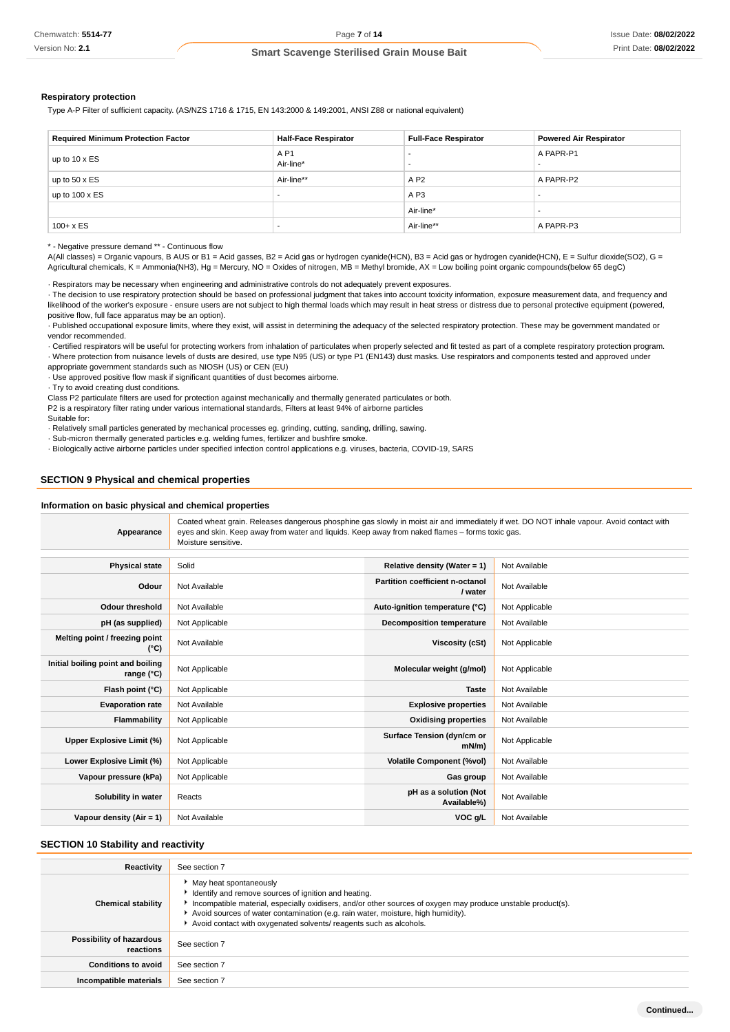#### **Respiratory protection**

Type A-P Filter of sufficient capacity. (AS/NZS 1716 & 1715, EN 143:2000 & 149:2001, ANSI Z88 or national equivalent)

| <b>Required Minimum Protection Factor</b> | <b>Half-Face Respirator</b>   | <b>Full-Face Respirator</b> | <b>Powered Air Respirator</b> |
|-------------------------------------------|-------------------------------|-----------------------------|-------------------------------|
| up to $10 \times ES$                      | A P <sub>1</sub><br>Air-line* |                             | A PAPR-P1                     |
| up to $50 \times ES$                      | Air-line**                    | A P2                        | A PAPR-P2                     |
| up to $100 \times ES$                     |                               | A P <sub>3</sub>            |                               |
|                                           |                               | Air-line*                   |                               |
| $100 + x ES$                              |                               | Air-line**                  | A PAPR-P3                     |

\* - Negative pressure demand \*\* - Continuous flow

A(All classes) = Organic vapours, B AUS or B1 = Acid gasses, B2 = Acid gas or hydrogen cyanide(HCN), B3 = Acid gas or hydrogen cyanide(HCN), E = Sulfur dioxide(SO2), G = Agricultural chemicals, K = Ammonia(NH3), Hg = Mercury, NO = Oxides of nitrogen, MB = Methyl bromide, AX = Low boiling point organic compounds(below 65 degC)

· Respirators may be necessary when engineering and administrative controls do not adequately prevent exposures.

· The decision to use respiratory protection should be based on professional judgment that takes into account toxicity information, exposure measurement data, and frequency and likelihood of the worker's exposure - ensure users are not subject to high thermal loads which may result in heat stress or distress due to personal protective equipment (powered, positive flow, full face apparatus may be an option).

· Published occupational exposure limits, where they exist, will assist in determining the adequacy of the selected respiratory protection. These may be government mandated or vendor recommended.

· Certified respirators will be useful for protecting workers from inhalation of particulates when properly selected and fit tested as part of a complete respiratory protection program. · Where protection from nuisance levels of dusts are desired, use type N95 (US) or type P1 (EN143) dust masks. Use respirators and components tested and approved under

appropriate government standards such as NIOSH (US) or CEN (EU)

· Use approved positive flow mask if significant quantities of dust becomes airborne.

· Try to avoid creating dust conditions.

Class P2 particulate filters are used for protection against mechanically and thermally generated particulates or both.

P2 is a respiratory filter rating under various international standards, Filters at least 94% of airborne particles Suitable for:

· Relatively small particles generated by mechanical processes eg. grinding, cutting, sanding, drilling, sawing.

· Sub-micron thermally generated particles e.g. welding fumes, fertilizer and bushfire smoke.

· Biologically active airborne particles under specified infection control applications e.g. viruses, bacteria, COVID-19, SARS

### **SECTION 9 Physical and chemical properties**

#### **Information on basic physical and chemical properties**

| Appearance                                               | Coated wheat grain. Releases dangerous phosphine gas slowly in moist air and immediately if wet. DO NOT inhale vapour. Avoid contact with<br>eyes and skin. Keep away from water and liquids. Keep away from naked flames – forms toxic gas.<br>Moisture sensitive. |                                            |                |  |
|----------------------------------------------------------|---------------------------------------------------------------------------------------------------------------------------------------------------------------------------------------------------------------------------------------------------------------------|--------------------------------------------|----------------|--|
| <b>Physical state</b>                                    | Solid                                                                                                                                                                                                                                                               | Relative density (Water = $1$ )            | Not Available  |  |
| Odour                                                    | Not Available                                                                                                                                                                                                                                                       | Partition coefficient n-octanol<br>/ water | Not Available  |  |
| <b>Odour threshold</b>                                   | Not Available                                                                                                                                                                                                                                                       | Auto-ignition temperature (°C)             | Not Applicable |  |
| pH (as supplied)                                         | Not Applicable                                                                                                                                                                                                                                                      | <b>Decomposition temperature</b>           | Not Available  |  |
| Melting point / freezing point<br>(°C)                   | Not Available                                                                                                                                                                                                                                                       | Viscosity (cSt)                            | Not Applicable |  |
| Initial boiling point and boiling<br>range $(^{\circ}C)$ | Not Applicable                                                                                                                                                                                                                                                      | Molecular weight (g/mol)                   | Not Applicable |  |
| Flash point (°C)                                         | Not Applicable                                                                                                                                                                                                                                                      | <b>Taste</b>                               | Not Available  |  |
| <b>Evaporation rate</b>                                  | Not Available                                                                                                                                                                                                                                                       | <b>Explosive properties</b>                | Not Available  |  |
| Flammability                                             | Not Applicable                                                                                                                                                                                                                                                      | <b>Oxidising properties</b>                | Not Available  |  |
| Upper Explosive Limit (%)                                | Not Applicable                                                                                                                                                                                                                                                      | Surface Tension (dyn/cm or<br>$mN/m$ )     | Not Applicable |  |
| Lower Explosive Limit (%)                                | Not Applicable                                                                                                                                                                                                                                                      | <b>Volatile Component (%vol)</b>           | Not Available  |  |
| Vapour pressure (kPa)                                    | Not Applicable                                                                                                                                                                                                                                                      | Gas group                                  | Not Available  |  |
| Solubility in water                                      | Reacts                                                                                                                                                                                                                                                              | pH as a solution (Not<br>Available%)       | Not Available  |  |
| Vapour density (Air = 1)                                 | Not Available                                                                                                                                                                                                                                                       | VOC g/L                                    | Not Available  |  |

### **SECTION 10 Stability and reactivity**

| Reactivity                            | See section 7                                                                                                                                                                                                                                                                                                                                                 |
|---------------------------------------|---------------------------------------------------------------------------------------------------------------------------------------------------------------------------------------------------------------------------------------------------------------------------------------------------------------------------------------------------------------|
| <b>Chemical stability</b>             | • May heat spontaneously<br>In Identify and remove sources of ignition and heating.<br>Incompatible material, especially oxidisers, and/or other sources of oxygen may produce unstable product(s).<br>Avoid sources of water contamination (e.g. rain water, moisture, high humidity).<br>Avoid contact with oxygenated solvents/ reagents such as alcohols. |
| Possibility of hazardous<br>reactions | See section 7                                                                                                                                                                                                                                                                                                                                                 |
| <b>Conditions to avoid</b>            | See section 7                                                                                                                                                                                                                                                                                                                                                 |
| Incompatible materials                | See section 7                                                                                                                                                                                                                                                                                                                                                 |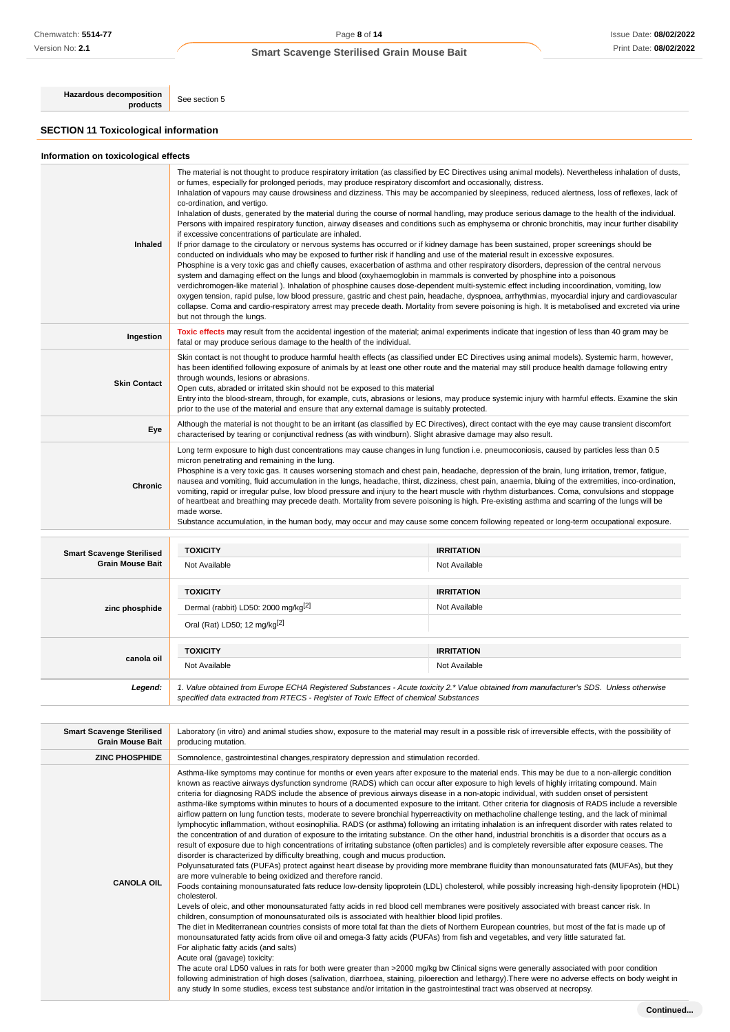**Hazardous decomposition**<br>**products** See section 5

## **SECTION 11 Toxicological information**

**canola oil**

## **Information on toxicological effects**

| <b>Inhaled</b>                   | The material is not thought to produce respiratory irritation (as classified by EC Directives using animal models). Nevertheless inhalation of dusts,<br>or fumes, especially for prolonged periods, may produce respiratory discomfort and occasionally, distress.<br>Inhalation of vapours may cause drowsiness and dizziness. This may be accompanied by sleepiness, reduced alertness, loss of reflexes, lack of<br>co-ordination, and vertigo.<br>Inhalation of dusts, generated by the material during the course of normal handling, may produce serious damage to the health of the individual.<br>Persons with impaired respiratory function, airway diseases and conditions such as emphysema or chronic bronchitis, may incur further disability<br>if excessive concentrations of particulate are inhaled.<br>If prior damage to the circulatory or nervous systems has occurred or if kidney damage has been sustained, proper screenings should be<br>conducted on individuals who may be exposed to further risk if handling and use of the material result in excessive exposures.<br>Phosphine is a very toxic gas and chiefly causes, exacerbation of asthma and other respiratory disorders, depression of the central nervous<br>system and damaging effect on the lungs and blood (oxyhaemoglobin in mammals is converted by phosphine into a poisonous<br>verdichromogen-like material). Inhalation of phosphine causes dose-dependent multi-systemic effect including incoordination, vomiting, low<br>oxygen tension, rapid pulse, low blood pressure, gastric and chest pain, headache, dyspnoea, arrhythmias, myocardial injury and cardiovascular<br>collapse. Coma and cardio-respiratory arrest may precede death. Mortality from severe poisoning is high. It is metabolised and excreted via urine<br>but not through the lungs. |                   |  |  |
|----------------------------------|-----------------------------------------------------------------------------------------------------------------------------------------------------------------------------------------------------------------------------------------------------------------------------------------------------------------------------------------------------------------------------------------------------------------------------------------------------------------------------------------------------------------------------------------------------------------------------------------------------------------------------------------------------------------------------------------------------------------------------------------------------------------------------------------------------------------------------------------------------------------------------------------------------------------------------------------------------------------------------------------------------------------------------------------------------------------------------------------------------------------------------------------------------------------------------------------------------------------------------------------------------------------------------------------------------------------------------------------------------------------------------------------------------------------------------------------------------------------------------------------------------------------------------------------------------------------------------------------------------------------------------------------------------------------------------------------------------------------------------------------------------------------------------------------------------------------------------------------------------------------|-------------------|--|--|
| Ingestion                        | Toxic effects may result from the accidental ingestion of the material; animal experiments indicate that ingestion of less than 40 gram may be<br>fatal or may produce serious damage to the health of the individual.                                                                                                                                                                                                                                                                                                                                                                                                                                                                                                                                                                                                                                                                                                                                                                                                                                                                                                                                                                                                                                                                                                                                                                                                                                                                                                                                                                                                                                                                                                                                                                                                                                          |                   |  |  |
| <b>Skin Contact</b>              | Skin contact is not thought to produce harmful health effects (as classified under EC Directives using animal models). Systemic harm, however,<br>has been identified following exposure of animals by at least one other route and the material may still produce health damage following entry<br>through wounds, lesions or abrasions.<br>Open cuts, abraded or irritated skin should not be exposed to this material<br>Entry into the blood-stream, through, for example, cuts, abrasions or lesions, may produce systemic injury with harmful effects. Examine the skin<br>prior to the use of the material and ensure that any external damage is suitably protected.                                                                                                                                                                                                                                                                                                                                                                                                                                                                                                                                                                                                                                                                                                                                                                                                                                                                                                                                                                                                                                                                                                                                                                                    |                   |  |  |
| Eye                              | Although the material is not thought to be an irritant (as classified by EC Directives), direct contact with the eye may cause transient discomfort<br>characterised by tearing or conjunctival redness (as with windburn). Slight abrasive damage may also result.                                                                                                                                                                                                                                                                                                                                                                                                                                                                                                                                                                                                                                                                                                                                                                                                                                                                                                                                                                                                                                                                                                                                                                                                                                                                                                                                                                                                                                                                                                                                                                                             |                   |  |  |
| Chronic                          | Long term exposure to high dust concentrations may cause changes in lung function i.e. pneumoconiosis, caused by particles less than 0.5<br>micron penetrating and remaining in the lung.<br>Phosphine is a very toxic gas. It causes worsening stomach and chest pain, headache, depression of the brain, lung irritation, tremor, fatigue,<br>nausea and vomiting, fluid accumulation in the lungs, headache, thirst, dizziness, chest pain, anaemia, bluing of the extremities, inco-ordination,<br>vomiting, rapid or irregular pulse, low blood pressure and injury to the heart muscle with rhythm disturbances. Coma, convulsions and stoppage<br>of heartbeat and breathing may precede death. Mortality from severe poisoning is high. Pre-existing asthma and scarring of the lungs will be<br>made worse.<br>Substance accumulation, in the human body, may occur and may cause some concern following repeated or long-term occupational exposure.                                                                                                                                                                                                                                                                                                                                                                                                                                                                                                                                                                                                                                                                                                                                                                                                                                                                                                  |                   |  |  |
| <b>Smart Scavenge Sterilised</b> | <b>TOXICITY</b>                                                                                                                                                                                                                                                                                                                                                                                                                                                                                                                                                                                                                                                                                                                                                                                                                                                                                                                                                                                                                                                                                                                                                                                                                                                                                                                                                                                                                                                                                                                                                                                                                                                                                                                                                                                                                                                 | <b>IRRITATION</b> |  |  |
| <b>Grain Mouse Bait</b>          | Not Available                                                                                                                                                                                                                                                                                                                                                                                                                                                                                                                                                                                                                                                                                                                                                                                                                                                                                                                                                                                                                                                                                                                                                                                                                                                                                                                                                                                                                                                                                                                                                                                                                                                                                                                                                                                                                                                   | Not Available     |  |  |
|                                  | <b>TOXICITY</b>                                                                                                                                                                                                                                                                                                                                                                                                                                                                                                                                                                                                                                                                                                                                                                                                                                                                                                                                                                                                                                                                                                                                                                                                                                                                                                                                                                                                                                                                                                                                                                                                                                                                                                                                                                                                                                                 | <b>IRRITATION</b> |  |  |
| zinc phosphide                   | Dermal (rabbit) LD50: 2000 mg/kg <sup>[2]</sup>                                                                                                                                                                                                                                                                                                                                                                                                                                                                                                                                                                                                                                                                                                                                                                                                                                                                                                                                                                                                                                                                                                                                                                                                                                                                                                                                                                                                                                                                                                                                                                                                                                                                                                                                                                                                                 | Not Available     |  |  |
|                                  | Oral (Rat) LD50; 12 mg/kg <sup>[2]</sup>                                                                                                                                                                                                                                                                                                                                                                                                                                                                                                                                                                                                                                                                                                                                                                                                                                                                                                                                                                                                                                                                                                                                                                                                                                                                                                                                                                                                                                                                                                                                                                                                                                                                                                                                                                                                                        |                   |  |  |
|                                  |                                                                                                                                                                                                                                                                                                                                                                                                                                                                                                                                                                                                                                                                                                                                                                                                                                                                                                                                                                                                                                                                                                                                                                                                                                                                                                                                                                                                                                                                                                                                                                                                                                                                                                                                                                                                                                                                 |                   |  |  |

**Legend:** 1. Value obtained from Europe ECHA Registered Substances - Acute toxicity 2.\* Value obtained from manufacturer's SDS. Unless otherwise specified data extracted from RTECS - Register of Toxic Effect of chemical Substances

| <b>Smart Scavenge Sterilised</b><br><b>Grain Mouse Bait</b> | Laboratory (in vitro) and animal studies show, exposure to the material may result in a possible risk of irreversible effects, with the possibility of<br>producing mutation.                                                                                                                                                                                                                                                                                                                                                                                                                                                                                                                                                                                                                                                                                                                                                                                                                                                                                                                                                                                                                                                                                                                                                                                                                                                                                                                                                                                                                                                                                                                                                                                                                                                                                                                                                                                                                                                                                                                                                                                                                                                                                                                                                                                                                                                                                                                                                                                                                                                                                                                                                        |  |  |  |
|-------------------------------------------------------------|--------------------------------------------------------------------------------------------------------------------------------------------------------------------------------------------------------------------------------------------------------------------------------------------------------------------------------------------------------------------------------------------------------------------------------------------------------------------------------------------------------------------------------------------------------------------------------------------------------------------------------------------------------------------------------------------------------------------------------------------------------------------------------------------------------------------------------------------------------------------------------------------------------------------------------------------------------------------------------------------------------------------------------------------------------------------------------------------------------------------------------------------------------------------------------------------------------------------------------------------------------------------------------------------------------------------------------------------------------------------------------------------------------------------------------------------------------------------------------------------------------------------------------------------------------------------------------------------------------------------------------------------------------------------------------------------------------------------------------------------------------------------------------------------------------------------------------------------------------------------------------------------------------------------------------------------------------------------------------------------------------------------------------------------------------------------------------------------------------------------------------------------------------------------------------------------------------------------------------------------------------------------------------------------------------------------------------------------------------------------------------------------------------------------------------------------------------------------------------------------------------------------------------------------------------------------------------------------------------------------------------------------------------------------------------------------------------------------------------------|--|--|--|
| <b>ZINC PHOSPHIDE</b>                                       | Somnolence, gastrointestinal changes, respiratory depression and stimulation recorded.                                                                                                                                                                                                                                                                                                                                                                                                                                                                                                                                                                                                                                                                                                                                                                                                                                                                                                                                                                                                                                                                                                                                                                                                                                                                                                                                                                                                                                                                                                                                                                                                                                                                                                                                                                                                                                                                                                                                                                                                                                                                                                                                                                                                                                                                                                                                                                                                                                                                                                                                                                                                                                               |  |  |  |
| <b>CANOLA OIL</b>                                           | Asthma-like symptoms may continue for months or even years after exposure to the material ends. This may be due to a non-allergic condition<br>known as reactive airways dysfunction syndrome (RADS) which can occur after exposure to high levels of highly irritating compound. Main<br>criteria for diagnosing RADS include the absence of previous airways disease in a non-atopic individual, with sudden onset of persistent<br>asthma-like symptoms within minutes to hours of a documented exposure to the irritant. Other criteria for diagnosis of RADS include a reversible<br>airflow pattern on lung function tests, moderate to severe bronchial hyperreactivity on methacholine challenge testing, and the lack of minimal<br>lymphocytic inflammation, without eosinophilia. RADS (or asthma) following an irritating inhalation is an infrequent disorder with rates related to<br>the concentration of and duration of exposure to the irritating substance. On the other hand, industrial bronchitis is a disorder that occurs as a<br>result of exposure due to high concentrations of irritating substance (often particles) and is completely reversible after exposure ceases. The<br>disorder is characterized by difficulty breathing, cough and mucus production.<br>Polyunsaturated fats (PUFAs) protect against heart disease by providing more membrane fluidity than monounsaturated fats (MUFAs), but they<br>are more vulnerable to being oxidized and therefore rancid.<br>Foods containing monounsaturated fats reduce low-density lipoprotein (LDL) cholesterol, while possibly increasing high-density lipoprotein (HDL)<br>cholesterol.<br>Levels of oleic, and other monounsaturated fatty acids in red blood cell membranes were positively associated with breast cancer risk. In<br>children, consumption of monounsaturated oils is associated with healthier blood lipid profiles.<br>The diet in Mediterranean countries consists of more total fat than the diets of Northern European countries, but most of the fat is made up of<br>monounsaturated fatty acids from olive oil and omega-3 fatty acids (PUFAs) from fish and vegetables, and very little saturated fat.<br>For aliphatic fatty acids (and salts)<br>Acute oral (gavage) toxicity:<br>The acute oral LD50 values in rats for both were greater than >2000 mg/kg bw Clinical signs were generally associated with poor condition<br>following administration of high doses (salivation, diarrhoea, staining, piloerection and lethargy). There were no adverse effects on body weight in<br>any study In some studies, excess test substance and/or irritation in the gastrointestinal tract was observed at necropsy. |  |  |  |

**TOXICITY IRRITATION** Not Available Not Available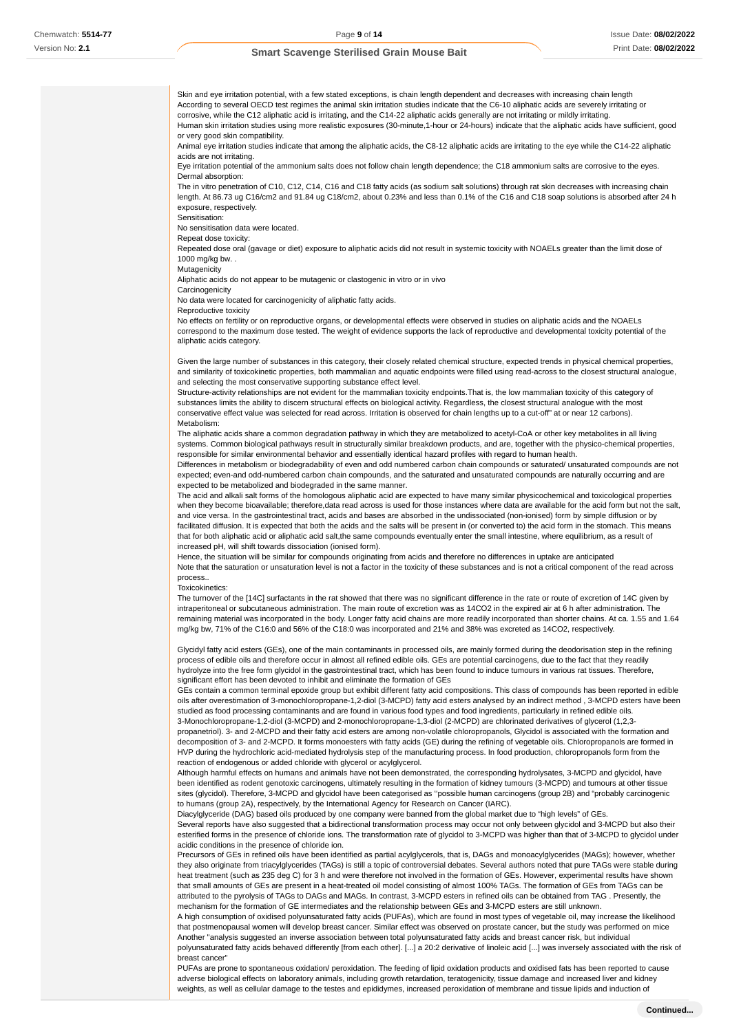Skin and eye irritation potential, with a few stated exceptions, is chain length dependent and decreases with increasing chain length According to several OECD test regimes the animal skin irritation studies indicate that the C6-10 aliphatic acids are severely irritating or corrosive, while the C12 aliphatic acid is irritating, and the C14-22 aliphatic acids generally are not irritating or mildly irritating. Human skin irritation studies using more realistic exposures (30-minute,1-hour or 24-hours) indicate that the aliphatic acids have sufficient, good or very good skin compatibility. Animal eye irritation studies indicate that among the aliphatic acids, the C8-12 aliphatic acids are irritating to the eye while the C14-22 aliphatic acids are not irritating. Eye irritation potential of the ammonium salts does not follow chain length dependence; the C18 ammonium salts are corrosive to the eyes. Dermal absorption:

The in vitro penetration of C10, C12, C14, C16 and C18 fatty acids (as sodium salt solutions) through rat skin decreases with increasing chain length. At 86.73 ug C16/cm2 and 91.84 ug C18/cm2, about 0.23% and less than 0.1% of the C16 and C18 soap solutions is absorbed after 24 h exposure, respectively.

Sensitisation:

No sensitisation data were located.

Repeat dose toxicity:

Repeated dose oral (gavage or diet) exposure to aliphatic acids did not result in systemic toxicity with NOAELs greater than the limit dose of 1000 mg/kg bw. .

Mutagenicity

Aliphatic acids do not appear to be mutagenic or clastogenic in vitro or in vivo

**Carcinogenicity** 

No data were located for carcinogenicity of aliphatic fatty acids.

Reproductive toxicity

No effects on fertility or on reproductive organs, or developmental effects were observed in studies on aliphatic acids and the NOAELs correspond to the maximum dose tested. The weight of evidence supports the lack of reproductive and developmental toxicity potential of the aliphatic acids category.

Given the large number of substances in this category, their closely related chemical structure, expected trends in physical chemical properties, and similarity of toxicokinetic properties, both mammalian and aquatic endpoints were filled using read-across to the closest structural analogue, and selecting the most conservative supporting substance effect level.

Structure-activity relationships are not evident for the mammalian toxicity endpoints.That is, the low mammalian toxicity of this category of substances limits the ability to discern structural effects on biological activity. Regardless, the closest structural analogue with the most conservative effect value was selected for read across. Irritation is observed for chain lengths up to a cut-off" at or near 12 carbons). Metabolism:

The aliphatic acids share a common degradation pathway in which they are metabolized to acetyl-CoA or other key metabolites in all living systems. Common biological pathways result in structurally similar breakdown products, and are, together with the physico-chemical properties, responsible for similar environmental behavior and essentially identical hazard profiles with regard to human health.

Differences in metabolism or biodegradability of even and odd numbered carbon chain compounds or saturated/ unsaturated compounds are not expected; even-and odd-numbered carbon chain compounds, and the saturated and unsaturated compounds are naturally occurring and are expected to be metabolized and biodegraded in the same manner.

The acid and alkali salt forms of the homologous aliphatic acid are expected to have many similar physicochemical and toxicological properties when they become bioavailable; therefore,data read across is used for those instances where data are available for the acid form but not the salt, and vice versa. In the gastrointestinal tract, acids and bases are absorbed in the undissociated (non-ionised) form by simple diffusion or by facilitated diffusion. It is expected that both the acids and the salts will be present in (or converted to) the acid form in the stomach. This means that for both aliphatic acid or aliphatic acid salt,the same compounds eventually enter the small intestine, where equilibrium, as a result of increased pH, will shift towards dissociation (ionised form).

Hence, the situation will be similar for compounds originating from acids and therefore no differences in uptake are anticipated Note that the saturation or unsaturation level is not a factor in the toxicity of these substances and is not a critical component of the read across process..

#### **Toxicokinetics**

The turnover of the [14C] surfactants in the rat showed that there was no significant difference in the rate or route of excretion of 14C given by intraperitoneal or subcutaneous administration. The main route of excretion was as 14CO2 in the expired air at 6 h after administration. The remaining material was incorporated in the body. Longer fatty acid chains are more readily incorporated than shorter chains. At ca. 1.55 and 1.64 mg/kg bw, 71% of the C16:0 and 56% of the C18:0 was incorporated and 21% and 38% was excreted as 14CO2, respectively.

Glycidyl fatty acid esters (GEs), one of the main contaminants in processed oils, are mainly formed during the deodorisation step in the refining process of edible oils and therefore occur in almost all refined edible oils. GEs are potential carcinogens, due to the fact that they readily hydrolyze into the free form glycidol in the gastrointestinal tract, which has been found to induce tumours in various rat tissues. Therefore, significant effort has been devoted to inhibit and eliminate the formation of GEs

GEs contain a common terminal epoxide group but exhibit different fatty acid compositions. This class of compounds has been reported in edible oils after overestimation of 3-monochloropropane-1,2-diol (3-MCPD) fatty acid esters analysed by an indirect method , 3-MCPD esters have been studied as food processing contaminants and are found in various food types and food ingredients, particularly in refined edible oils. 3-Monochloropropane-1,2-diol (3-MCPD) and 2-monochloropropane-1,3-diol (2-MCPD) are chlorinated derivatives of glycerol (1,2,3-

propanetriol). 3- and 2-MCPD and their fatty acid esters are among non-volatile chloropropanols, Glycidol is associated with the formation and decomposition of 3- and 2-MCPD. It forms monoesters with fatty acids (GE) during the refining of vegetable oils. Chloropropanols are formed in HVP during the hydrochloric acid-mediated hydrolysis step of the manufacturing process. In food production, chloropropanols form from the reaction of endogenous or added chloride with glycerol or acylglycerol.

Although harmful effects on humans and animals have not been demonstrated, the corresponding hydrolysates, 3-MCPD and glycidol, have been identified as rodent genotoxic carcinogens, ultimately resulting in the formation of kidney tumours (3-MCPD) and tumours at other tissue sites (glycidol). Therefore, 3-MCPD and glycidol have been categorised as ''possible human carcinogens (group 2B) and "probably carcinogenic to humans (group 2A), respectively, by the International Agency for Research on Cancer (IARC).

Diacylglyceride (DAG) based oils produced by one company were banned from the global market due to "high levels" of GEs. Several reports have also suggested that a bidirectional transformation process may occur not only between glycidol and 3-MCPD but also their esterified forms in the presence of chloride ions. The transformation rate of glycidol to 3-MCPD was higher than that of 3-MCPD to glycidol under acidic conditions in the presence of chloride ion.

Precursors of GEs in refined oils have been identified as partial acylglycerols, that is, DAGs and monoacylglycerides (MAGs); however, whether they also originate from triacylglycerides (TAGs) is still a topic of controversial debates. Several authors noted that pure TAGs were stable during heat treatment (such as 235 deg C) for 3 h and were therefore not involved in the formation of GEs. However, experimental results have shown that small amounts of GEs are present in a heat-treated oil model consisting of almost 100% TAGs. The formation of GEs from TAGs can be attributed to the pyrolysis of TAGs to DAGs and MAGs. In contrast, 3-MCPD esters in refined oils can be obtained from TAG . Presently, the mechanism for the formation of GE intermediates and the relationship between GEs and 3-MCPD esters are still unknown.

A high consumption of oxidised polyunsaturated fatty acids (PUFAs), which are found in most types of vegetable oil, may increase the likelihood that postmenopausal women will develop breast cancer. Similar effect was observed on prostate cancer, but the study was performed on mice Another "analysis suggested an inverse association between total polyunsaturated fatty acids and breast cancer risk, but individual polyunsaturated fatty acids behaved differently [from each other]. [...] a 20:2 derivative of linoleic acid [...] was inversely associated with the risk of breast cancer"

PUFAs are prone to spontaneous oxidation/ peroxidation. The feeding of lipid oxidation products and oxidised fats has been reported to cause adverse biological effects on laboratory animals, including growth retardation, teratogenicity, tissue damage and increased liver and kidney weights, as well as cellular damage to the testes and epididymes, increased peroxidation of membrane and tissue lipids and induction of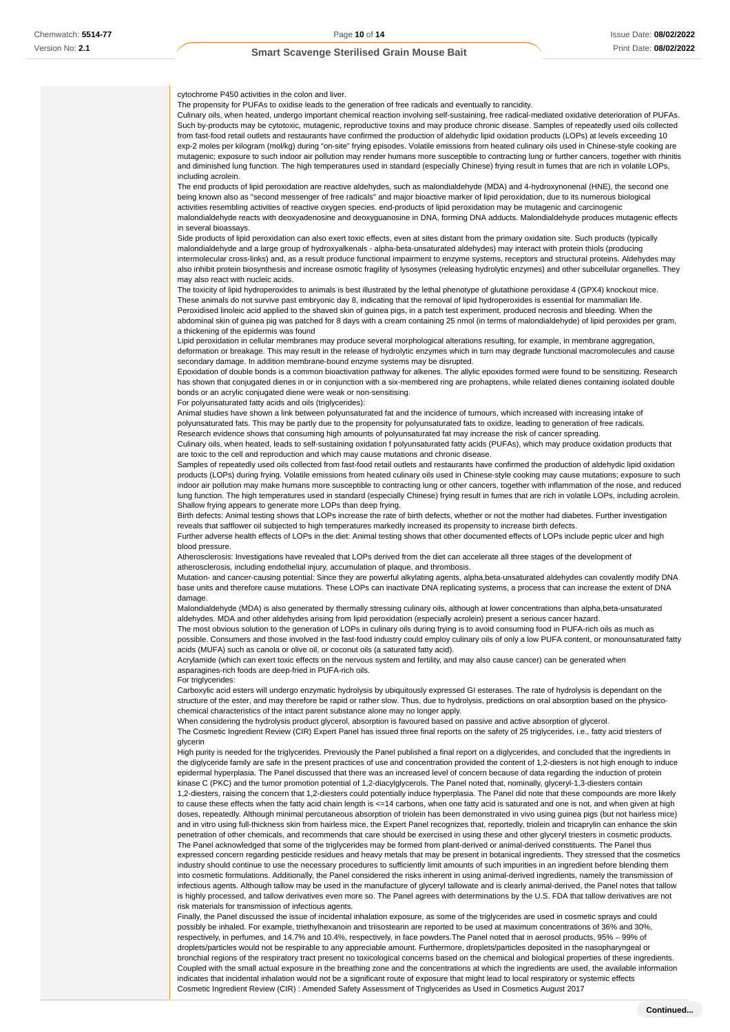cytochrome P450 activities in the colon and liver.

The propensity for PUFAs to oxidise leads to the generation of free radicals and eventually to rancidity.

Culinary oils, when heated, undergo important chemical reaction involving self-sustaining, free radical-mediated oxidative deterioration of PUFAs. Such by-products may be cytotoxic, mutagenic, reproductive toxins and may produce chronic disease. Samples of repeatedly used oils collected from fast-food retail outlets and restaurants have confirmed the production of aldehydic lipid oxidation products (LOPs) at levels exceeding 10 exp-2 moles per kilogram (mol/kg) during "on-site" frying episodes. Volatile emissions from heated culinary oils used in Chinese-style cooking are mutagenic; exposure to such indoor air pollution may render humans more susceptible to contracting lung or further cancers, together with rhinitis and diminished lung function. The high temperatures used in standard (especially Chinese) frying result in fumes that are rich in volatile LOPs, including acrolein.

The end products of lipid peroxidation are reactive aldehydes, such as malondialdehyde (MDA) and 4-hydroxynonenal (HNE), the second one being known also as "second messenger of free radicals" and major bioactive marker of lipid peroxidation, due to its numerous biological activities resembling activities of reactive oxygen species. end-products of lipid peroxidation may be mutagenic and carcinogenic malondialdehyde reacts with deoxyadenosine and deoxyguanosine in DNA, forming DNA adducts. Malondialdehyde produces mutagenic effects

#### in several bioassays.

Side products of lipid peroxidation can also exert toxic effects, even at sites distant from the primary oxidation site. Such products (typically malondialdehyde and a large group of hydroxyalkenals - alpha-beta-unsaturated aldehydes) may interact with protein thiols (producing intermolecular cross-links) and, as a result produce functional impairment to enzyme systems, receptors and structural proteins. Aldehydes may also inhibit protein biosynthesis and increase osmotic fragility of lysosymes (releasing hydrolytic enzymes) and other subcellular organelles. They may also react with nucleic acids.

The toxicity of lipid hydroperoxides to animals is best illustrated by the lethal phenotype of glutathione peroxidase 4 (GPX4) knockout mice. These animals do not survive past embryonic day 8, indicating that the removal of lipid hydroperoxides is essential for mammalian life. Peroxidised linoleic acid applied to the shaved skin of guinea pigs, in a patch test experiment, produced necrosis and bleeding. When the abdominal skin of guinea pig was patched for 8 days with a cream containing 25 nmol (in terms of malondialdehyde) of lipid peroxides per gram, a thickening of the epidermis was found

Lipid peroxidation in cellular membranes may produce several morphological alterations resulting, for example, in membrane aggregation, deformation or breakage. This may result in the release of hydrolytic enzymes which in turn may degrade functional macromolecules and cause secondary damage. In addition membrane-bound enzyme systems may be disrupted.

Epoxidation of double bonds is a common bioactivation pathway for alkenes. The allylic epoxides formed were found to be sensitizing. Research has shown that conjugated dienes in or in conjunction with a six-membered ring are prohaptens, while related dienes containing isolated double bonds or an acrylic conjugated diene were weak or non-sensitising.

#### For polyunsaturated fatty acids and oils (triglycerides):

Animal studies have shown a link between polyunsaturated fat and the incidence of tumours, which increased with increasing intake of polyunsaturated fats. This may be partly due to the propensity for polyunsaturated fats to oxidize, leading to generation of free radicals. Research evidence shows that consuming high amounts of polyunsaturated fat may increase the risk of cancer spreading.

Culinary oils, when heated, leads to self-sustaining oxidation f polyunsaturated fatty acids (PUFAs), which may produce oxidation products that are toxic to the cell and reproduction and which may cause mutations and chronic disease.

Samples of repeatedly used oils collected from fast-food retail outlets and restaurants have confirmed the production of aldehydic lipid oxidation products (LOPs) during frying. Volatile emissions from heated culinary oils used in Chinese-style cooking may cause mutations; exposure to such indoor air pollution may make humans more susceptible to contracting lung or other cancers, together with inflammation of the nose, and reduced lung function. The high temperatures used in standard (especially Chinese) frying result in fumes that are rich in volatile LOPs, including acrolein. Shallow frying appears to generate more LOPs than deep frying.

Birth defects: Animal testing shows that LOPs increase the rate of birth defects, whether or not the mother had diabetes. Further investigation reveals that safflower oil subjected to high temperatures markedly increased its propensity to increase birth defects.

Further adverse health effects of LOPs in the diet: Animal testing shows that other documented effects of LOPs include peptic ulcer and high blood pressure.

Atherosclerosis: Investigations have revealed that LOPs derived from the diet can accelerate all three stages of the development of atherosclerosis, including endothelial injury, accumulation of plaque, and thrombosis.

Mutation- and cancer-causing potential: Since they are powerful alkylating agents, alpha,beta-unsaturated aldehydes can covalently modify DNA base units and therefore cause mutations. These LOPs can inactivate DNA replicating systems, a process that can increase the extent of DNA damage.

Malondialdehyde (MDA) is also generated by thermally stressing culinary oils, although at lower concentrations than alpha,beta-unsaturated aldehydes. MDA and other aldehydes arising from lipid peroxidation (especially acrolein) present a serious cancer hazard. The most obvious solution to the generation of LOPs in culinary oils during frying is to avoid consuming food in PUFA-rich oils as much as

possible. Consumers and those involved in the fast-food industry could employ culinary oils of only a low PUFA content, or monounsaturated fatty acids (MUFA) such as canola or olive oil, or coconut oils (a saturated fatty acid).

Acrylamide (which can exert toxic effects on the nervous system and fertility, and may also cause cancer) can be generated when asparagines-rich foods are deep-fried in PUFA-rich oils.

#### For triglycerides:

Carboxylic acid esters will undergo enzymatic hydrolysis by ubiquitously expressed GI esterases. The rate of hydrolysis is dependant on the structure of the ester, and may therefore be rapid or rather slow. Thus, due to hydrolysis, predictions on oral absorption based on the physicochemical characteristics of the intact parent substance alone may no longer apply.

When considering the hydrolysis product glycerol, absorption is favoured based on passive and active absorption of glycerol. The Cosmetic Ingredient Review (CIR) Expert Panel has issued three final reports on the safety of 25 triglycerides, i.e., fatty acid triesters of glycerin

High purity is needed for the triglycerides. Previously the Panel published a final report on a diglycerides, and concluded that the ingredients in the diglyceride family are safe in the present practices of use and concentration provided the content of 1,2-diesters is not high enough to induce epidermal hyperplasia. The Panel discussed that there was an increased level of concern because of data regarding the induction of protein kinase C (PKC) and the tumor promotion potential of 1,2-diacylglycerols. The Panel noted that, nominally, glyceryl-1,3-diesters contain 1,2-diesters, raising the concern that 1,2-diesters could potentially induce hyperplasia. The Panel did note that these compounds are more likely to cause these effects when the fatty acid chain length is <=14 carbons, when one fatty acid is saturated and one is not, and when given at high doses, repeatedly. Although minimal percutaneous absorption of triolein has been demonstrated in vivo using guinea pigs (but not hairless mice) and in vitro using full-thickness skin from hairless mice, the Expert Panel recognizes that, reportedly, triolein and tricaprylin can enhance the skin penetration of other chemicals, and recommends that care should be exercised in using these and other glyceryl triesters in cosmetic products. The Panel acknowledged that some of the triglycerides may be formed from plant-derived or animal-derived constituents. The Panel thus expressed concern regarding pesticide residues and heavy metals that may be present in botanical ingredients. They stressed that the cosmetics industry should continue to use the necessary procedures to sufficiently limit amounts of such impurities in an ingredient before blending them into cosmetic formulations. Additionally, the Panel considered the risks inherent in using animal-derived ingredients, namely the transmission of infectious agents. Although tallow may be used in the manufacture of glyceryl tallowate and is clearly animal-derived, the Panel notes that tallow is highly processed, and tallow derivatives even more so. The Panel agrees with determinations by the U.S. FDA that tallow derivatives are not risk materials for transmission of infectious agents.

Finally, the Panel discussed the issue of incidental inhalation exposure, as some of the triglycerides are used in cosmetic sprays and could possibly be inhaled. For example, triethylhexanoin and triisostearin are reported to be used at maximum concentrations of 36% and 30%, respectively, in perfumes, and 14.7% and 10.4%, respectively, in face powders.The Panel noted that in aerosol products, 95% – 99% of droplets/particles would not be respirable to any appreciable amount. Furthermore, droplets/particles deposited in the nasopharyngeal or bronchial regions of the respiratory tract present no toxicological concerns based on the chemical and biological properties of these ingredients. Coupled with the small actual exposure in the breathing zone and the concentrations at which the ingredients are used, the available information indicates that incidental inhalation would not be a significant route of exposure that might lead to local respiratory or systemic effects Cosmetic Ingredient Review (CIR) : Amended Safety Assessment of Triglycerides as Used in Cosmetics August 2017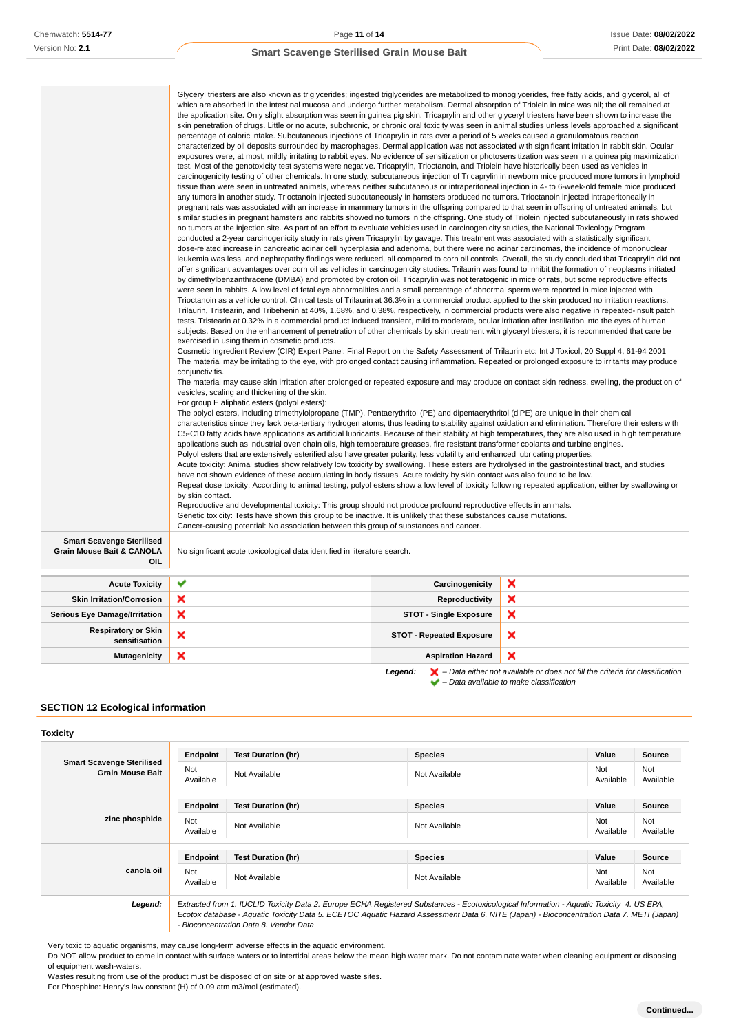| <b>Smart Scavenge Sterilised</b><br>Grain Mouse Bait & CANOLA<br>OIL | Glyceryl triesters are also known as triglycerides; ingested triglycerides are metabolized to monoglycerides, free fatty acids, and glycerol, all of<br>which are absorbed in the intestinal mucosa and undergo further metabolism. Dermal absorption of Triolein in mice was nil; the oil remained at<br>the application site. Only slight absorption was seen in guinea pig skin. Tricaprylin and other glyceryl triesters have been shown to increase the<br>skin penetration of drugs. Little or no acute, subchronic, or chronic oral toxicity was seen in animal studies unless levels approached a significant<br>percentage of caloric intake. Subcutaneous injections of Tricaprylin in rats over a period of 5 weeks caused a granulomatous reaction<br>characterized by oil deposits surrounded by macrophages. Dermal application was not associated with significant irritation in rabbit skin. Ocular<br>exposures were, at most, mildly irritating to rabbit eyes. No evidence of sensitization or photosensitization was seen in a guinea pig maximization<br>test. Most of the genotoxicity test systems were negative. Tricaprylin, Trioctanoin, and Triolein have historically been used as vehicles in<br>carcinogenicity testing of other chemicals. In one study, subcutaneous injection of Tricaprylin in newborn mice produced more tumors in lymphoid<br>tissue than were seen in untreated animals, whereas neither subcutaneous or intraperitoneal injection in 4- to 6-week-old female mice produced<br>any tumors in another study. Trioctanoin injected subcutaneously in hamsters produced no tumors. Trioctanoin injected intraperitoneally in<br>pregnant rats was associated with an increase in mammary tumors in the offspring compared to that seen in offspring of untreated animals, but<br>similar studies in pregnant hamsters and rabbits showed no tumors in the offspring. One study of Triolein injected subcutaneously in rats showed<br>no tumors at the injection site. As part of an effort to evaluate vehicles used in carcinogenicity studies, the National Toxicology Program<br>conducted a 2-year carcinogenicity study in rats given Tricaprylin by gavage. This treatment was associated with a statistically significant<br>dose-related increase in pancreatic acinar cell hyperplasia and adenoma, but there were no acinar carcinomas, the incidence of mononuclear<br>leukemia was less, and nephropathy findings were reduced, all compared to corn oil controls. Overall, the study concluded that Tricaprylin did not<br>offer significant advantages over corn oil as vehicles in carcinogenicity studies. Trilaurin was found to inhibit the formation of neoplasms initiated<br>by dimethylbenzanthracene (DMBA) and promoted by croton oil. Tricaprylin was not teratogenic in mice or rats, but some reproductive effects<br>were seen in rabbits. A low level of fetal eye abnormalities and a small percentage of abnormal sperm were reported in mice injected with<br>Trioctanoin as a vehicle control. Clinical tests of Trilaurin at 36.3% in a commercial product applied to the skin produced no irritation reactions.<br>Trilaurin, Tristearin, and Tribehenin at 40%, 1.68%, and 0.38%, respectively, in commercial products were also negative in repeated-insult patch<br>tests. Tristearin at 0.32% in a commercial product induced transient, mild to moderate, ocular irritation after instillation into the eyes of human<br>subjects. Based on the enhancement of penetration of other chemicals by skin treatment with glyceryl triesters, it is recommended that care be<br>exercised in using them in cosmetic products.<br>Cosmetic Ingredient Review (CIR) Expert Panel: Final Report on the Safety Assessment of Trilaurin etc: Int J Toxicol, 20 Suppl 4, 61-94 2001<br>The material may be irritating to the eye, with prolonged contact causing inflammation. Repeated or prolonged exposure to irritants may produce<br>conjunctivitis.<br>The material may cause skin irritation after prolonged or repeated exposure and may produce on contact skin redness, swelling, the production of<br>vesicles, scaling and thickening of the skin.<br>For group E aliphatic esters (polyol esters):<br>The polyol esters, including trimethylolpropane (TMP). Pentaerythritol (PE) and dipentaerythritol (diPE) are unique in their chemical<br>characteristics since they lack beta-tertiary hydrogen atoms, thus leading to stability against oxidation and elimination. Therefore their esters with<br>C5-C10 fatty acids have applications as artificial lubricants. Because of their stability at high temperatures, they are also used in high temperature<br>applications such as industrial oven chain oils, high temperature greases, fire resistant transformer coolants and turbine engines.<br>Polyol esters that are extensively esterified also have greater polarity, less volatility and enhanced lubricating properties.<br>Acute toxicity: Animal studies show relatively low toxicity by swallowing. These esters are hydrolysed in the gastrointestinal tract, and studies<br>have not shown evidence of these accumulating in body tissues. Acute toxicity by skin contact was also found to be low.<br>Repeat dose toxicity: According to animal testing, polyol esters show a low level of toxicity following repeated application, either by swallowing or<br>by skin contact.<br>Reproductive and developmental toxicity: This group should not produce profound reproductive effects in animals.<br>Genetic toxicity: Tests have shown this group to be inactive. It is unlikely that these substances cause mutations.<br>Cancer-causing potential: No association between this group of substances and cancer.<br>No significant acute toxicological data identified in literature search. |                                 |   |
|----------------------------------------------------------------------|-------------------------------------------------------------------------------------------------------------------------------------------------------------------------------------------------------------------------------------------------------------------------------------------------------------------------------------------------------------------------------------------------------------------------------------------------------------------------------------------------------------------------------------------------------------------------------------------------------------------------------------------------------------------------------------------------------------------------------------------------------------------------------------------------------------------------------------------------------------------------------------------------------------------------------------------------------------------------------------------------------------------------------------------------------------------------------------------------------------------------------------------------------------------------------------------------------------------------------------------------------------------------------------------------------------------------------------------------------------------------------------------------------------------------------------------------------------------------------------------------------------------------------------------------------------------------------------------------------------------------------------------------------------------------------------------------------------------------------------------------------------------------------------------------------------------------------------------------------------------------------------------------------------------------------------------------------------------------------------------------------------------------------------------------------------------------------------------------------------------------------------------------------------------------------------------------------------------------------------------------------------------------------------------------------------------------------------------------------------------------------------------------------------------------------------------------------------------------------------------------------------------------------------------------------------------------------------------------------------------------------------------------------------------------------------------------------------------------------------------------------------------------------------------------------------------------------------------------------------------------------------------------------------------------------------------------------------------------------------------------------------------------------------------------------------------------------------------------------------------------------------------------------------------------------------------------------------------------------------------------------------------------------------------------------------------------------------------------------------------------------------------------------------------------------------------------------------------------------------------------------------------------------------------------------------------------------------------------------------------------------------------------------------------------------------------------------------------------------------------------------------------------------------------------------------------------------------------------------------------------------------------------------------------------------------------------------------------------------------------------------------------------------------------------------------------------------------------------------------------------------------------------------------------------------------------------------------------------------------------------------------------------------------------------------------------------------------------------------------------------------------------------------------------------------------------------------------------------------------------------------------------------------------------------------------------------------------------------------------------------------------------------------------------------------------------------------------------------------------------------------------------------------------------------------------------------------------------------------------------------------------------------------------------------------------------------------------------------------------------------------------------------------------------------------------------------------------------------------------------------------------------------------------------------------------------------------------------------------------------------------------------------------------------------------------------------------------------------------------------------------------------------------------------------------------------------------------------------------------------------------------------------------------------------------------------------------------------------------------------------------------------------------------------------------------------------------------------------------------------------------------------------------------------------------------------------------------------------------------------------------------------------------------------|---------------------------------|---|
|                                                                      |                                                                                                                                                                                                                                                                                                                                                                                                                                                                                                                                                                                                                                                                                                                                                                                                                                                                                                                                                                                                                                                                                                                                                                                                                                                                                                                                                                                                                                                                                                                                                                                                                                                                                                                                                                                                                                                                                                                                                                                                                                                                                                                                                                                                                                                                                                                                                                                                                                                                                                                                                                                                                                                                                                                                                                                                                                                                                                                                                                                                                                                                                                                                                                                                                                                                                                                                                                                                                                                                                                                                                                                                                                                                                                                                                                                                                                                                                                                                                                                                                                                                                                                                                                                                                                                                                                                                                                                                                                                                                                                                                                                                                                                                                                                                                                                                                                                                                                                                                                                                                                                                                                                                                                                                                                                                                                                                                                                                                                                                                                                                                                                                                                                                                                                                                                                                                                                                                                                   |                                 |   |
| <b>Acute Toxicity</b>                                                | ✔                                                                                                                                                                                                                                                                                                                                                                                                                                                                                                                                                                                                                                                                                                                                                                                                                                                                                                                                                                                                                                                                                                                                                                                                                                                                                                                                                                                                                                                                                                                                                                                                                                                                                                                                                                                                                                                                                                                                                                                                                                                                                                                                                                                                                                                                                                                                                                                                                                                                                                                                                                                                                                                                                                                                                                                                                                                                                                                                                                                                                                                                                                                                                                                                                                                                                                                                                                                                                                                                                                                                                                                                                                                                                                                                                                                                                                                                                                                                                                                                                                                                                                                                                                                                                                                                                                                                                                                                                                                                                                                                                                                                                                                                                                                                                                                                                                                                                                                                                                                                                                                                                                                                                                                                                                                                                                                                                                                                                                                                                                                                                                                                                                                                                                                                                                                                                                                                                                                 | Carcinogenicity                 | × |
| <b>Skin Irritation/Corrosion</b>                                     | ×                                                                                                                                                                                                                                                                                                                                                                                                                                                                                                                                                                                                                                                                                                                                                                                                                                                                                                                                                                                                                                                                                                                                                                                                                                                                                                                                                                                                                                                                                                                                                                                                                                                                                                                                                                                                                                                                                                                                                                                                                                                                                                                                                                                                                                                                                                                                                                                                                                                                                                                                                                                                                                                                                                                                                                                                                                                                                                                                                                                                                                                                                                                                                                                                                                                                                                                                                                                                                                                                                                                                                                                                                                                                                                                                                                                                                                                                                                                                                                                                                                                                                                                                                                                                                                                                                                                                                                                                                                                                                                                                                                                                                                                                                                                                                                                                                                                                                                                                                                                                                                                                                                                                                                                                                                                                                                                                                                                                                                                                                                                                                                                                                                                                                                                                                                                                                                                                                                                 | Reproductivity                  | × |
| <b>Serious Eye Damage/Irritation</b>                                 | ×                                                                                                                                                                                                                                                                                                                                                                                                                                                                                                                                                                                                                                                                                                                                                                                                                                                                                                                                                                                                                                                                                                                                                                                                                                                                                                                                                                                                                                                                                                                                                                                                                                                                                                                                                                                                                                                                                                                                                                                                                                                                                                                                                                                                                                                                                                                                                                                                                                                                                                                                                                                                                                                                                                                                                                                                                                                                                                                                                                                                                                                                                                                                                                                                                                                                                                                                                                                                                                                                                                                                                                                                                                                                                                                                                                                                                                                                                                                                                                                                                                                                                                                                                                                                                                                                                                                                                                                                                                                                                                                                                                                                                                                                                                                                                                                                                                                                                                                                                                                                                                                                                                                                                                                                                                                                                                                                                                                                                                                                                                                                                                                                                                                                                                                                                                                                                                                                                                                 | <b>STOT - Single Exposure</b>   | × |
| <b>Respiratory or Skin</b><br>sensitisation                          | ×                                                                                                                                                                                                                                                                                                                                                                                                                                                                                                                                                                                                                                                                                                                                                                                                                                                                                                                                                                                                                                                                                                                                                                                                                                                                                                                                                                                                                                                                                                                                                                                                                                                                                                                                                                                                                                                                                                                                                                                                                                                                                                                                                                                                                                                                                                                                                                                                                                                                                                                                                                                                                                                                                                                                                                                                                                                                                                                                                                                                                                                                                                                                                                                                                                                                                                                                                                                                                                                                                                                                                                                                                                                                                                                                                                                                                                                                                                                                                                                                                                                                                                                                                                                                                                                                                                                                                                                                                                                                                                                                                                                                                                                                                                                                                                                                                                                                                                                                                                                                                                                                                                                                                                                                                                                                                                                                                                                                                                                                                                                                                                                                                                                                                                                                                                                                                                                                                                                 | <b>STOT - Repeated Exposure</b> | × |
| <b>Mutagenicity</b>                                                  | ×                                                                                                                                                                                                                                                                                                                                                                                                                                                                                                                                                                                                                                                                                                                                                                                                                                                                                                                                                                                                                                                                                                                                                                                                                                                                                                                                                                                                                                                                                                                                                                                                                                                                                                                                                                                                                                                                                                                                                                                                                                                                                                                                                                                                                                                                                                                                                                                                                                                                                                                                                                                                                                                                                                                                                                                                                                                                                                                                                                                                                                                                                                                                                                                                                                                                                                                                                                                                                                                                                                                                                                                                                                                                                                                                                                                                                                                                                                                                                                                                                                                                                                                                                                                                                                                                                                                                                                                                                                                                                                                                                                                                                                                                                                                                                                                                                                                                                                                                                                                                                                                                                                                                                                                                                                                                                                                                                                                                                                                                                                                                                                                                                                                                                                                                                                                                                                                                                                                 | <b>Aspiration Hazard</b>        | × |

**Legend:**  $\mathbf{X}$  – Data either not available or does not fill the criteria for classification – Data available to make classification

## **SECTION 12 Ecological information**

## **Toxicity**

| <b>Smart Scavenge Sterilised</b><br><b>Grain Mouse Bait</b> | Endpoint                                                                                                                                                                                                                                                                                                                       | <b>Test Duration (hr)</b> | <b>Species</b> | Value            | Source           |
|-------------------------------------------------------------|--------------------------------------------------------------------------------------------------------------------------------------------------------------------------------------------------------------------------------------------------------------------------------------------------------------------------------|---------------------------|----------------|------------------|------------------|
|                                                             | Not<br>Available                                                                                                                                                                                                                                                                                                               | Not Available             | Not Available  | Not<br>Available | Not<br>Available |
|                                                             | Endpoint                                                                                                                                                                                                                                                                                                                       | <b>Test Duration (hr)</b> | <b>Species</b> | Value            | <b>Source</b>    |
| zinc phosphide                                              | Not<br>Available                                                                                                                                                                                                                                                                                                               | Not Available             | Not Available  | Not<br>Available | Not<br>Available |
| canola oil                                                  | Endpoint                                                                                                                                                                                                                                                                                                                       | <b>Test Duration (hr)</b> | <b>Species</b> | Value            | <b>Source</b>    |
|                                                             | Not<br>Available                                                                                                                                                                                                                                                                                                               | Not Available             | Not Available  | Not<br>Available | Not<br>Available |
| Legend:                                                     | Extracted from 1. IUCLID Toxicity Data 2. Europe ECHA Registered Substances - Ecotoxicological Information - Aquatic Toxicity 4. US EPA,<br>Ecotox database - Aquatic Toxicity Data 5. ECETOC Aquatic Hazard Assessment Data 6. NITE (Japan) - Bioconcentration Data 7. METI (Japan)<br>- Bioconcentration Data 8. Vendor Data |                           |                |                  |                  |

Very toxic to aquatic organisms, may cause long-term adverse effects in the aquatic environment.

Do NOT allow product to come in contact with surface waters or to intertidal areas below the mean high water mark. Do not contaminate water when cleaning equipment or disposing of equipment wash-waters.

Wastes resulting from use of the product must be disposed of on site or at approved waste sites.

For Phosphine: Henry's law constant (H) of 0.09 atm m3/mol (estimated).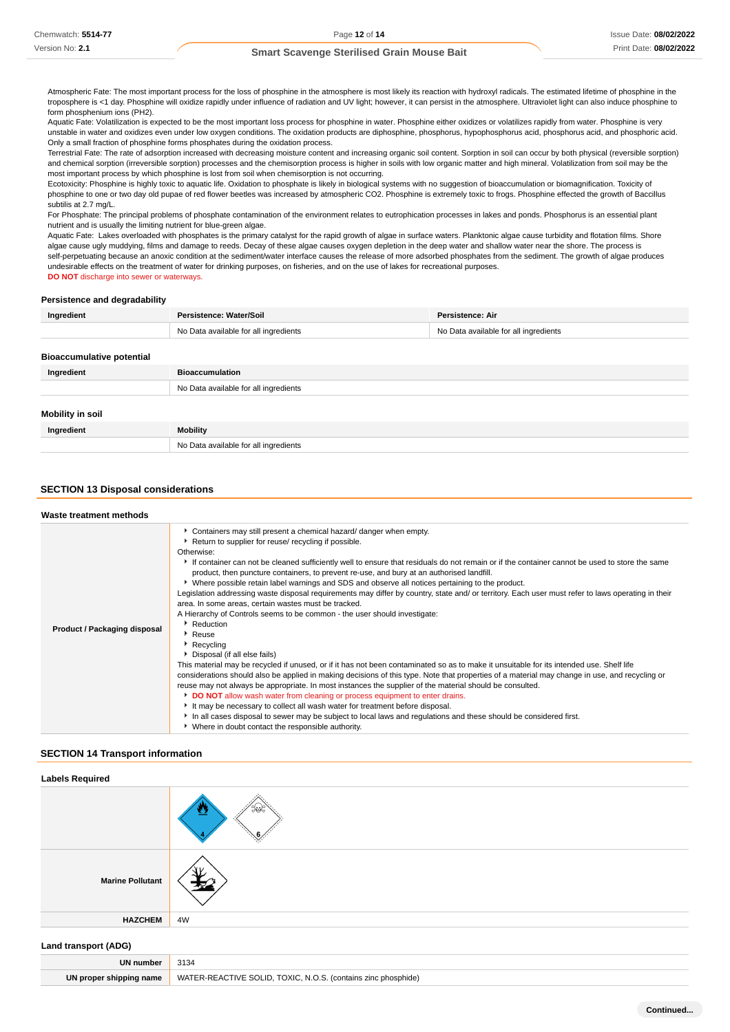Atmospheric Fate: The most important process for the loss of phosphine in the atmosphere is most likely its reaction with hydroxyl radicals. The estimated lifetime of phosphine in the troposphere is <1 day. Phosphine will oxidize rapidly under influence of radiation and UV light; however, it can persist in the atmosphere. Ultraviolet light can also induce phosphine to form phosphenium ions (PH2).

Aquatic Fate: Volatilization is expected to be the most important loss process for phosphine in water. Phosphine either oxidizes or volatilizes rapidly from water. Phosphine is very unstable in water and oxidizes even under low oxygen conditions. The oxidation products are diphosphine, phosphorus, hypophosphorus acid, phosphorus acid, and phosphoric acid. Only a small fraction of phosphine forms phosphates during the oxidation process.

Terrestrial Fate: The rate of adsorption increased with decreasing moisture content and increasing organic soil content. Sorption in soil can occur by both physical (reversible sorption) and chemical sorption (irreversible sorption) processes and the chemisorption process is higher in soils with low organic matter and high mineral. Volatilization from soil may be the most important process by which phosphine is lost from soil when chemisorption is not occurring.

Ecotoxicity: Phosphine is highly toxic to aquatic life. Oxidation to phosphate is likely in biological systems with no suggestion of bioaccumulation or biomagnification. Toxicity of phosphine to one or two day old pupae of red flower beetles was increased by atmospheric CO2. Phosphine is extremely toxic to frogs. Phosphine effected the growth of Baccillus subtilis at 2.7 mg/L.

For Phosphate: The principal problems of phosphate contamination of the environment relates to eutrophication processes in lakes and ponds. Phosphorus is an essential plant nutrient and is usually the limiting nutrient for blue-green algae.

Aquatic Fate: Lakes overloaded with phosphates is the primary catalyst for the rapid growth of algae in surface waters. Planktonic algae cause turbidity and flotation films. Shore algae cause ugly muddying, films and damage to reeds. Decay of these algae causes oxygen depletion in the deep water and shallow water near the shore. The process is self-perpetuating because an anoxic condition at the sediment/water interface causes the release of more adsorbed phosphates from the sediment. The growth of algae produces undesirable effects on the treatment of water for drinking purposes, on fisheries, and on the use of lakes for recreational purposes. **DO NOT** discharge into sewer or waterways.

## **Persistence and degradability**

| Ingredient                       | Persistence: Water/Soil               | Persistence: Air                      |
|----------------------------------|---------------------------------------|---------------------------------------|
|                                  | No Data available for all ingredients | No Data available for all ingredients |
|                                  |                                       |                                       |
| <b>Bioaccumulative potential</b> |                                       |                                       |
| Ingredient                       | <b>Bioaccumulation</b>                |                                       |
|                                  | No Data available for all ingredients |                                       |
|                                  |                                       |                                       |
| <b>Mobility in soil</b>          |                                       |                                       |
| Ingredient                       | <b>Mobility</b>                       |                                       |

### **SECTION 13 Disposal considerations**

No Data available for all ingredients

| Waste treatment methods             |                                                                                                                                                                                                                                                                                                                                                                                                                                                                                                                                                                                                                                                                                                                                                                                                                                                                                                                                                                                                                                                                                                                                                                                                                                                                                                                                                                                                                                                                                                                                                                                                                    |
|-------------------------------------|--------------------------------------------------------------------------------------------------------------------------------------------------------------------------------------------------------------------------------------------------------------------------------------------------------------------------------------------------------------------------------------------------------------------------------------------------------------------------------------------------------------------------------------------------------------------------------------------------------------------------------------------------------------------------------------------------------------------------------------------------------------------------------------------------------------------------------------------------------------------------------------------------------------------------------------------------------------------------------------------------------------------------------------------------------------------------------------------------------------------------------------------------------------------------------------------------------------------------------------------------------------------------------------------------------------------------------------------------------------------------------------------------------------------------------------------------------------------------------------------------------------------------------------------------------------------------------------------------------------------|
| <b>Product / Packaging disposal</b> | Containers may still present a chemical hazard/ danger when empty.<br>Return to supplier for reuse/ recycling if possible.<br>Otherwise:<br>If container can not be cleaned sufficiently well to ensure that residuals do not remain or if the container cannot be used to store the same<br>product, then puncture containers, to prevent re-use, and bury at an authorised landfill.<br>► Where possible retain label warnings and SDS and observe all notices pertaining to the product.<br>Legislation addressing waste disposal requirements may differ by country, state and/ or territory. Each user must refer to laws operating in their<br>area. In some areas, certain wastes must be tracked.<br>A Hierarchy of Controls seems to be common - the user should investigate:<br>Reduction<br>▶ Reuse<br>Recycling<br>▶ Disposal (if all else fails)<br>This material may be recycled if unused, or if it has not been contaminated so as to make it unsuitable for its intended use. Shelf life<br>considerations should also be applied in making decisions of this type. Note that properties of a material may change in use, and recycling or<br>reuse may not always be appropriate. In most instances the supplier of the material should be consulted.<br>DO NOT allow wash water from cleaning or process equipment to enter drains.<br>It may be necessary to collect all wash water for treatment before disposal.<br>In all cases disposal to sewer may be subject to local laws and regulations and these should be considered first.<br>▶ Where in doubt contact the responsible authority. |

#### **SECTION 14 Transport information**

| <b>Labels Required</b>                                                          |       |
|---------------------------------------------------------------------------------|-------|
|                                                                                 | انتها |
| <b>Marine Pollutant</b>                                                         |       |
| <b>HAZCHEM</b>                                                                  | 4W    |
| the contract of the contract of the contract of the contract of the contract of |       |

## **Land transport (ADG)**

| ™numbe.                    | 3134<br>$ -$                                                                  |
|----------------------------|-------------------------------------------------------------------------------|
| shipping name<br>UN proper | WATER-REACTIVE<br>יו ורא<br>TOXIC.<br>NI O<br><i>contains</i><br>: phosphide) |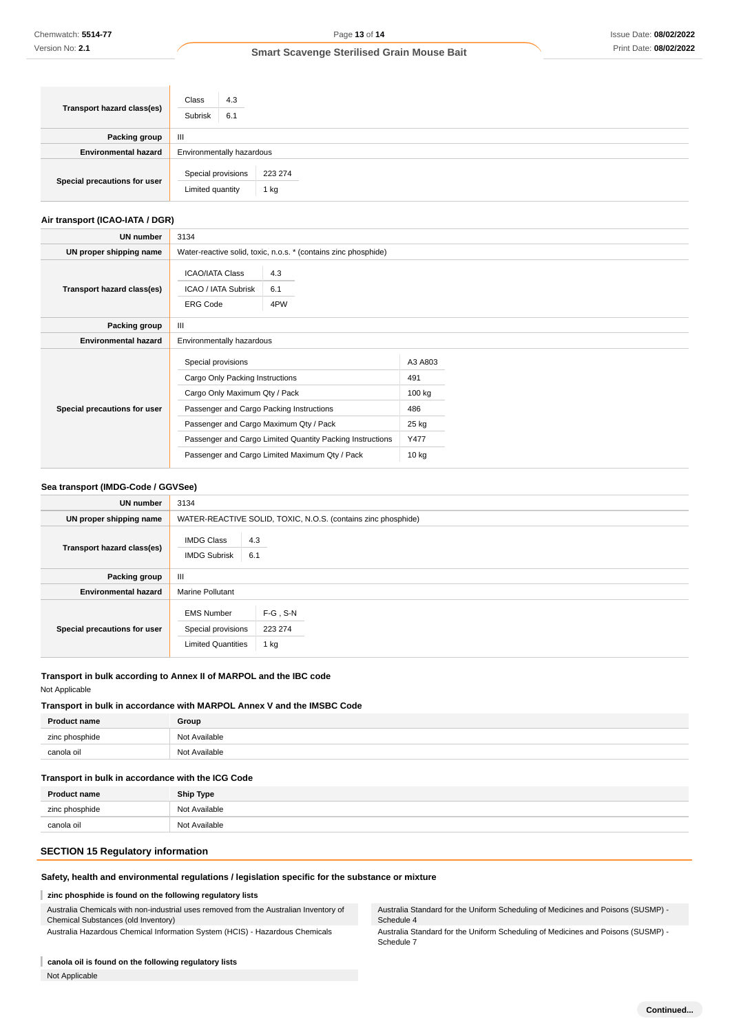| Transport hazard class(es)   | Class<br>4.3<br>Subrisk<br>6.1         |                 |  |
|------------------------------|----------------------------------------|-----------------|--|
| Packing group                | $\mathbf{H}$                           |                 |  |
| <b>Environmental hazard</b>  | Environmentally hazardous              |                 |  |
| Special precautions for user | Special provisions<br>Limited quantity | 223 274<br>1 kg |  |

## **Air transport (ICAO-IATA / DGR)**

| UN number                    | 3134                                                                                   |                                                |                          |  |
|------------------------------|----------------------------------------------------------------------------------------|------------------------------------------------|--------------------------|--|
| UN proper shipping name      | Water-reactive solid, toxic, n.o.s. * (contains zinc phosphide)                        |                                                |                          |  |
| Transport hazard class(es)   | <b>ICAO/IATA Class</b><br>ICAO / IATA Subrisk<br><b>ERG Code</b>                       | 4.3<br>6.1<br>4PW                              |                          |  |
| Packing group                | $\mathbf{III}$                                                                         |                                                |                          |  |
| <b>Environmental hazard</b>  | Environmentally hazardous                                                              |                                                |                          |  |
|                              | Special provisions<br>Cargo Only Packing Instructions<br>Cargo Only Maximum Qty / Pack |                                                | A3 A803<br>491<br>100 kg |  |
| Special precautions for user | Passenger and Cargo Packing Instructions                                               |                                                | 486                      |  |
|                              | Passenger and Cargo Maximum Qty / Pack                                                 |                                                | 25 kg                    |  |
|                              | Passenger and Cargo Limited Quantity Packing Instructions                              |                                                | Y477                     |  |
|                              |                                                                                        | Passenger and Cargo Limited Maximum Qty / Pack | $10$ kg                  |  |

### **Sea transport (IMDG-Code / GGVSee)**

| <b>UN number</b>             | 3134                                                                                                   |
|------------------------------|--------------------------------------------------------------------------------------------------------|
| UN proper shipping name      | WATER-REACTIVE SOLID, TOXIC, N.O.S. (contains zinc phosphide)                                          |
| Transport hazard class(es)   | 4.3<br><b>IMDG Class</b><br>6.1<br><b>IMDG Subrisk</b>                                                 |
| Packing group                | $\mathbf{III}$                                                                                         |
| <b>Environmental hazard</b>  | <b>Marine Pollutant</b>                                                                                |
| Special precautions for user | $F-G$ , S-N<br><b>EMS Number</b><br>Special provisions<br>223 274<br><b>Limited Quantities</b><br>1 kg |

## **Transport in bulk according to Annex II of MARPOL and the IBC code**

## Not Applicable

## **Transport in bulk in accordance with MARPOL Annex V and the IMSBC Code**

| <b>Product name</b> | Group         |
|---------------------|---------------|
| zinc phosphide      | Not Available |
| canola oil          | Not Available |

## **Transport in bulk in accordance with the ICG Code**

| <b>Product name</b> | Ship Type     |
|---------------------|---------------|
| zinc phosphide      | Not Available |
| canola oil          | Not Available |

## **SECTION 15 Regulatory information**

## **Safety, health and environmental regulations / legislation specific for the substance or mixture**

#### I **zinc phosphide is found on the following regulatory lists**

Australia Chemicals with non-industrial uses removed from the Australian Inventory of Chemical Substances (old Inventory) Australia Hazardous Chemical Information System (HCIS) - Hazardous Chemicals

Australia Standard for the Uniform Scheduling of Medicines and Poisons (SUSMP) - Schedule 4

Australia Standard for the Uniform Scheduling of Medicines and Poisons (SUSMP) - Schedule 7

## **canola oil is found on the following regulatory lists**

Not Applicable